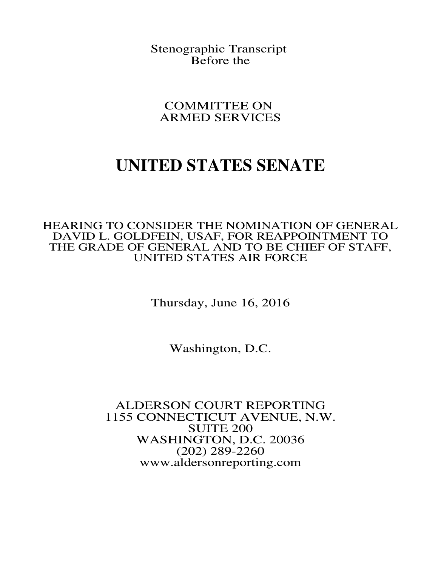Stenographic Transcript Before the

COMMITTEE ON ARMED SERVICES

# **UNITED STATES SENATE**

HEARING TO CONSIDER THE NOMINATION OF GENERAL DAVID L. GOLDFEIN, USAF, FOR REAPPOINTMENT TO THE GRADE OF GENERAL AND TO BE CHIEF OF STAFF, UNITED STATES AIR FORCE

Thursday, June 16, 2016

Washington, D.C.

ALDERSON COURT REPORTING 1155 CONNECTICUT AVENUE, N.W. SUITE 200 WASHINGTON, D.C. 20036 (202) 289-2260 www.aldersonreporting.com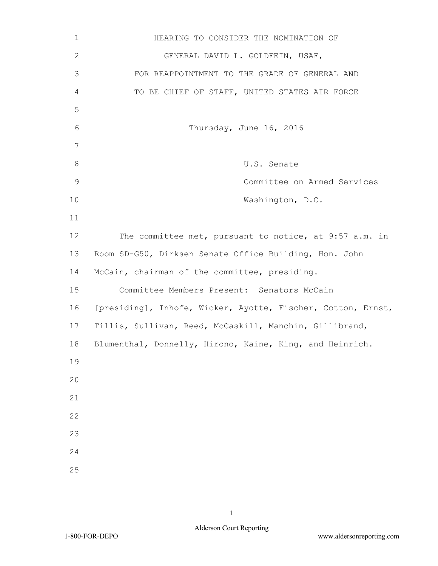| $\mathbf 1$   | HEARING TO CONSIDER THE NOMINATION OF                        |
|---------------|--------------------------------------------------------------|
| $\mathbf{2}$  | GENERAL DAVID L. GOLDFEIN, USAF,                             |
| 3             | FOR REAPPOINTMENT TO THE GRADE OF GENERAL AND                |
| 4             | TO BE CHIEF OF STAFF, UNITED STATES AIR FORCE                |
| 5             |                                                              |
| 6             | Thursday, June 16, 2016                                      |
| 7             |                                                              |
| $8\,$         | U.S. Senate                                                  |
| $\mathcal{G}$ | Committee on Armed Services                                  |
| 10            | Washington, D.C.                                             |
| 11            |                                                              |
| 12            | The committee met, pursuant to notice, at 9:57 a.m. in       |
| 13            | Room SD-G50, Dirksen Senate Office Building, Hon. John       |
| 14            | McCain, chairman of the committee, presiding.                |
| 15            | Committee Members Present: Senators McCain                   |
| 16            | [presiding], Inhofe, Wicker, Ayotte, Fischer, Cotton, Ernst, |
| 17            | Tillis, Sullivan, Reed, McCaskill, Manchin, Gillibrand,      |
| 18            | Blumenthal, Donnelly, Hirono, Kaine, King, and Heinrich.     |
| 19            |                                                              |
| 20            |                                                              |
| 21            |                                                              |
| 22            |                                                              |
| 23            |                                                              |
| 24            |                                                              |
| 25            |                                                              |

 $\bar{\beta}$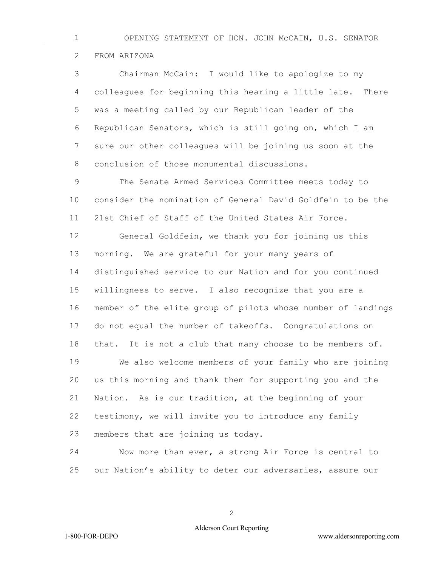OPENING STATEMENT OF HON. JOHN McCAIN, U.S. SENATOR FROM ARIZONA

 Chairman McCain: I would like to apologize to my colleagues for beginning this hearing a little late. There was a meeting called by our Republican leader of the Republican Senators, which is still going on, which I am sure our other colleagues will be joining us soon at the conclusion of those monumental discussions.

 The Senate Armed Services Committee meets today to consider the nomination of General David Goldfein to be the 21st Chief of Staff of the United States Air Force.

 General Goldfein, we thank you for joining us this morning. We are grateful for your many years of distinguished service to our Nation and for you continued willingness to serve. I also recognize that you are a member of the elite group of pilots whose number of landings do not equal the number of takeoffs. Congratulations on that. It is not a club that many choose to be members of. We also welcome members of your family who are joining us this morning and thank them for supporting you and the Nation. As is our tradition, at the beginning of your testimony, we will invite you to introduce any family members that are joining us today.

 Now more than ever, a strong Air Force is central to our Nation's ability to deter our adversaries, assure our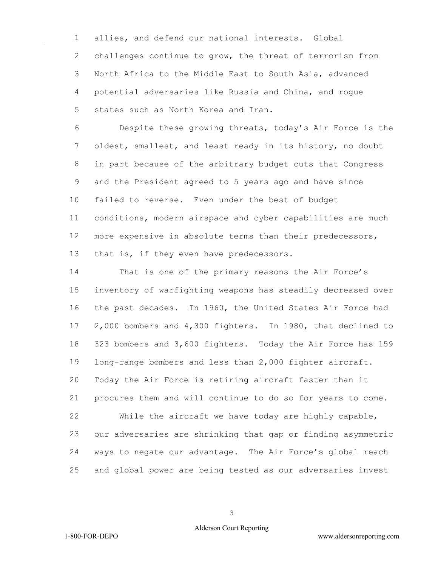allies, and defend our national interests. Global challenges continue to grow, the threat of terrorism from North Africa to the Middle East to South Asia, advanced potential adversaries like Russia and China, and rogue states such as North Korea and Iran.

 Despite these growing threats, today's Air Force is the oldest, smallest, and least ready in its history, no doubt in part because of the arbitrary budget cuts that Congress and the President agreed to 5 years ago and have since failed to reverse. Even under the best of budget conditions, modern airspace and cyber capabilities are much more expensive in absolute terms than their predecessors, 13 that is, if they even have predecessors.

 That is one of the primary reasons the Air Force's inventory of warfighting weapons has steadily decreased over the past decades. In 1960, the United States Air Force had 2,000 bombers and 4,300 fighters. In 1980, that declined to 323 bombers and 3,600 fighters. Today the Air Force has 159 long-range bombers and less than 2,000 fighter aircraft. Today the Air Force is retiring aircraft faster than it procures them and will continue to do so for years to come. While the aircraft we have today are highly capable, our adversaries are shrinking that gap or finding asymmetric ways to negate our advantage. The Air Force's global reach

and global power are being tested as our adversaries invest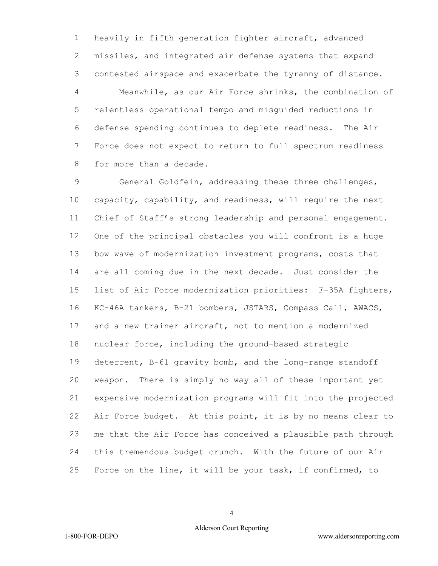heavily in fifth generation fighter aircraft, advanced missiles, and integrated air defense systems that expand contested airspace and exacerbate the tyranny of distance. Meanwhile, as our Air Force shrinks, the combination of relentless operational tempo and misguided reductions in defense spending continues to deplete readiness. The Air Force does not expect to return to full spectrum readiness for more than a decade.

 General Goldfein, addressing these three challenges, capacity, capability, and readiness, will require the next Chief of Staff's strong leadership and personal engagement. One of the principal obstacles you will confront is a huge bow wave of modernization investment programs, costs that are all coming due in the next decade. Just consider the list of Air Force modernization priorities: F-35A fighters, KC-46A tankers, B-21 bombers, JSTARS, Compass Call, AWACS, and a new trainer aircraft, not to mention a modernized nuclear force, including the ground-based strategic deterrent, B-61 gravity bomb, and the long-range standoff weapon. There is simply no way all of these important yet expensive modernization programs will fit into the projected Air Force budget. At this point, it is by no means clear to me that the Air Force has conceived a plausible path through this tremendous budget crunch. With the future of our Air Force on the line, it will be your task, if confirmed, to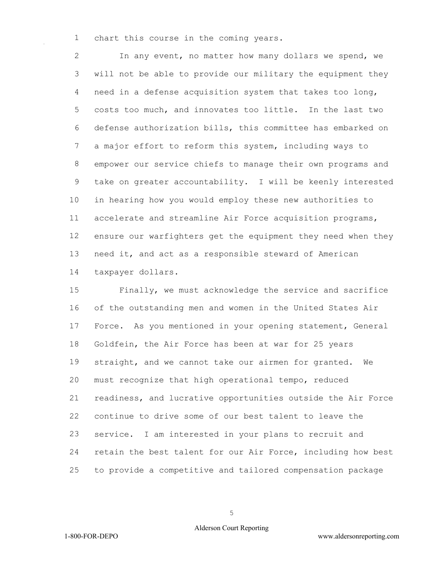chart this course in the coming years.

 In any event, no matter how many dollars we spend, we will not be able to provide our military the equipment they need in a defense acquisition system that takes too long, costs too much, and innovates too little. In the last two defense authorization bills, this committee has embarked on a major effort to reform this system, including ways to empower our service chiefs to manage their own programs and take on greater accountability. I will be keenly interested in hearing how you would employ these new authorities to accelerate and streamline Air Force acquisition programs, ensure our warfighters get the equipment they need when they need it, and act as a responsible steward of American taxpayer dollars.

 Finally, we must acknowledge the service and sacrifice of the outstanding men and women in the United States Air Force. As you mentioned in your opening statement, General Goldfein, the Air Force has been at war for 25 years straight, and we cannot take our airmen for granted. We must recognize that high operational tempo, reduced readiness, and lucrative opportunities outside the Air Force continue to drive some of our best talent to leave the service. I am interested in your plans to recruit and retain the best talent for our Air Force, including how best to provide a competitive and tailored compensation package

## Alderson Court Reporting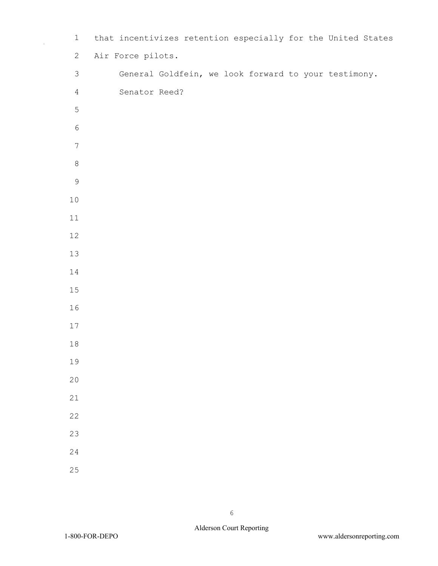| $\mathbf 1$     | that incentivizes retention especially for the United States |  |
|-----------------|--------------------------------------------------------------|--|
| $\mathbf{2}$    | Air Force pilots.                                            |  |
| $\mathfrak{Z}$  | General Goldfein, we look forward to your testimony.         |  |
| $\overline{4}$  | Senator Reed?                                                |  |
| $\mathsf S$     |                                                              |  |
| $\sqrt{6}$      |                                                              |  |
| $7\phantom{.0}$ |                                                              |  |
| $\,8\,$         |                                                              |  |
| $\mathsf 9$     |                                                              |  |
| $1\,0$          |                                                              |  |
| 11              |                                                              |  |
| 12              |                                                              |  |
| 13              |                                                              |  |
| $1\,4$          |                                                              |  |
| $15\,$          |                                                              |  |
| 16              |                                                              |  |
| $17\,$          |                                                              |  |
| $1\,8$          |                                                              |  |
| 19              |                                                              |  |
| 20              |                                                              |  |
| 21              |                                                              |  |
| 22              |                                                              |  |
| 23              |                                                              |  |
| 24              |                                                              |  |
| 25              |                                                              |  |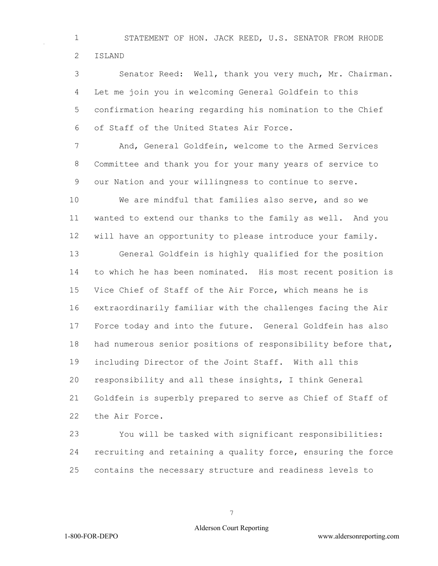STATEMENT OF HON. JACK REED, U.S. SENATOR FROM RHODE ISLAND

 Senator Reed: Well, thank you very much, Mr. Chairman. Let me join you in welcoming General Goldfein to this confirmation hearing regarding his nomination to the Chief of Staff of the United States Air Force.

 And, General Goldfein, welcome to the Armed Services Committee and thank you for your many years of service to our Nation and your willingness to continue to serve.

 We are mindful that families also serve, and so we wanted to extend our thanks to the family as well. And you will have an opportunity to please introduce your family.

 General Goldfein is highly qualified for the position to which he has been nominated. His most recent position is Vice Chief of Staff of the Air Force, which means he is extraordinarily familiar with the challenges facing the Air Force today and into the future. General Goldfein has also had numerous senior positions of responsibility before that, including Director of the Joint Staff. With all this responsibility and all these insights, I think General Goldfein is superbly prepared to serve as Chief of Staff of the Air Force.

 You will be tasked with significant responsibilities: recruiting and retaining a quality force, ensuring the force contains the necessary structure and readiness levels to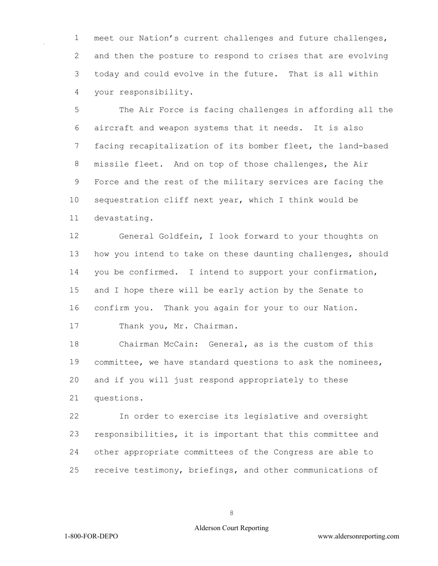meet our Nation's current challenges and future challenges, and then the posture to respond to crises that are evolving today and could evolve in the future. That is all within your responsibility.

 The Air Force is facing challenges in affording all the aircraft and weapon systems that it needs. It is also facing recapitalization of its bomber fleet, the land-based missile fleet. And on top of those challenges, the Air Force and the rest of the military services are facing the sequestration cliff next year, which I think would be devastating.

 General Goldfein, I look forward to your thoughts on how you intend to take on these daunting challenges, should you be confirmed. I intend to support your confirmation, and I hope there will be early action by the Senate to confirm you. Thank you again for your to our Nation.

Thank you, Mr. Chairman.

 Chairman McCain: General, as is the custom of this committee, we have standard questions to ask the nominees, and if you will just respond appropriately to these questions.

 In order to exercise its legislative and oversight responsibilities, it is important that this committee and other appropriate committees of the Congress are able to receive testimony, briefings, and other communications of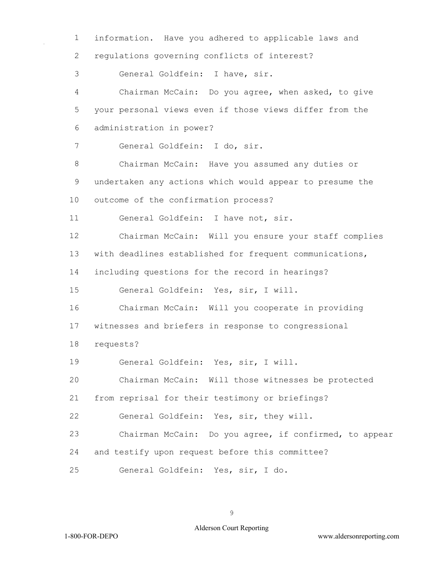information. Have you adhered to applicable laws and regulations governing conflicts of interest? General Goldfein: I have, sir. Chairman McCain: Do you agree, when asked, to give your personal views even if those views differ from the administration in power? General Goldfein: I do, sir. Chairman McCain: Have you assumed any duties or undertaken any actions which would appear to presume the outcome of the confirmation process? General Goldfein: I have not, sir. Chairman McCain: Will you ensure your staff complies with deadlines established for frequent communications, including questions for the record in hearings? General Goldfein: Yes, sir, I will. Chairman McCain: Will you cooperate in providing witnesses and briefers in response to congressional requests? General Goldfein: Yes, sir, I will. Chairman McCain: Will those witnesses be protected from reprisal for their testimony or briefings? General Goldfein: Yes, sir, they will. Chairman McCain: Do you agree, if confirmed, to appear and testify upon request before this committee? General Goldfein: Yes, sir, I do.

# Alderson Court Reporting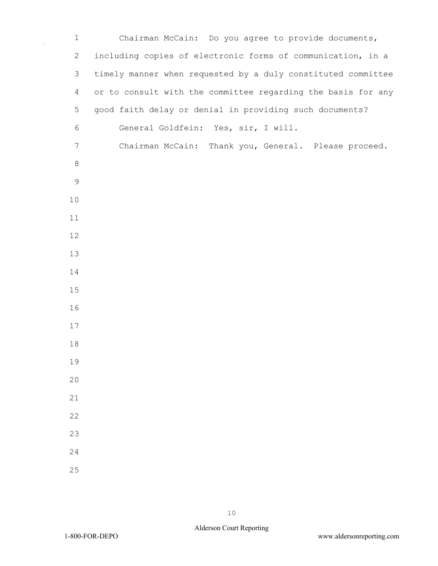| $\mathbf 1$    | Chairman McCain: Do you agree to provide documents,          |
|----------------|--------------------------------------------------------------|
| $\mathbf{2}$   | including copies of electronic forms of communication, in a  |
| 3              | timely manner when requested by a duly constituted committee |
| $\overline{4}$ | or to consult with the committee regarding the basis for any |
| 5              | good faith delay or denial in providing such documents?      |
| $\sqrt{6}$     | General Goldfein: Yes, sir, I will.                          |
| $\overline{7}$ | Chairman McCain: Thank you, General. Please proceed.         |
| $\,8\,$        |                                                              |
| $\mathsf 9$    |                                                              |
| 10             |                                                              |
| 11             |                                                              |
| 12             |                                                              |
| 13             |                                                              |
| 14             |                                                              |
| 15             |                                                              |
| 16             |                                                              |
| 17             |                                                              |
| 18             |                                                              |
| 19             |                                                              |
| 20             |                                                              |
| 21             |                                                              |
| 22             |                                                              |
| 23             |                                                              |
| 24             |                                                              |
| 25             |                                                              |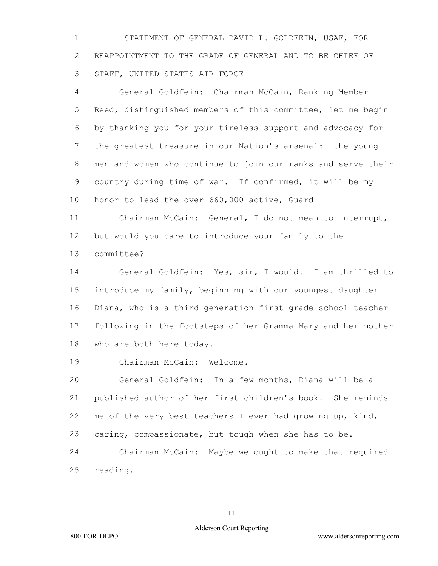STATEMENT OF GENERAL DAVID L. GOLDFEIN, USAF, FOR REAPPOINTMENT TO THE GRADE OF GENERAL AND TO BE CHIEF OF STAFF, UNITED STATES AIR FORCE

 General Goldfein: Chairman McCain, Ranking Member Reed, distinguished members of this committee, let me begin by thanking you for your tireless support and advocacy for the greatest treasure in our Nation's arsenal: the young men and women who continue to join our ranks and serve their country during time of war. If confirmed, it will be my honor to lead the over 660,000 active, Guard --

 Chairman McCain: General, I do not mean to interrupt, but would you care to introduce your family to the committee?

 General Goldfein: Yes, sir, I would. I am thrilled to introduce my family, beginning with our youngest daughter Diana, who is a third generation first grade school teacher following in the footsteps of her Gramma Mary and her mother who are both here today.

Chairman McCain: Welcome.

 General Goldfein: In a few months, Diana will be a published author of her first children's book. She reminds me of the very best teachers I ever had growing up, kind, caring, compassionate, but tough when she has to be.

 Chairman McCain: Maybe we ought to make that required reading.

#### Alderson Court Reporting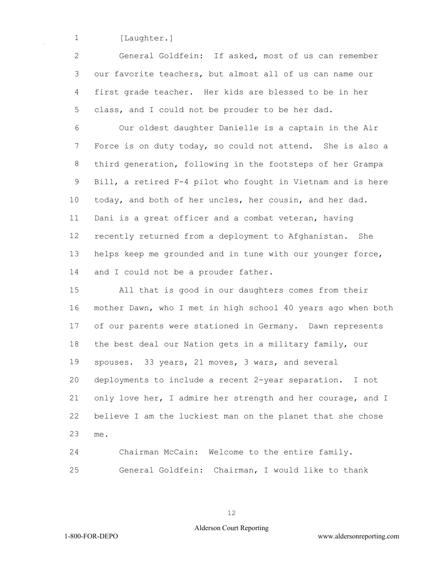1 [Laughter.]

 General Goldfein: If asked, most of us can remember our favorite teachers, but almost all of us can name our first grade teacher. Her kids are blessed to be in her class, and I could not be prouder to be her dad.

 Our oldest daughter Danielle is a captain in the Air Force is on duty today, so could not attend. She is also a third generation, following in the footsteps of her Grampa Bill, a retired F-4 pilot who fought in Vietnam and is here today, and both of her uncles, her cousin, and her dad. Dani is a great officer and a combat veteran, having recently returned from a deployment to Afghanistan. She helps keep me grounded and in tune with our younger force, and I could not be a prouder father.

 All that is good in our daughters comes from their mother Dawn, who I met in high school 40 years ago when both of our parents were stationed in Germany. Dawn represents the best deal our Nation gets in a military family, our spouses. 33 years, 21 moves, 3 wars, and several deployments to include a recent 2-year separation. I not only love her, I admire her strength and her courage, and I believe I am the luckiest man on the planet that she chose me.

 Chairman McCain: Welcome to the entire family. General Goldfein: Chairman, I would like to thank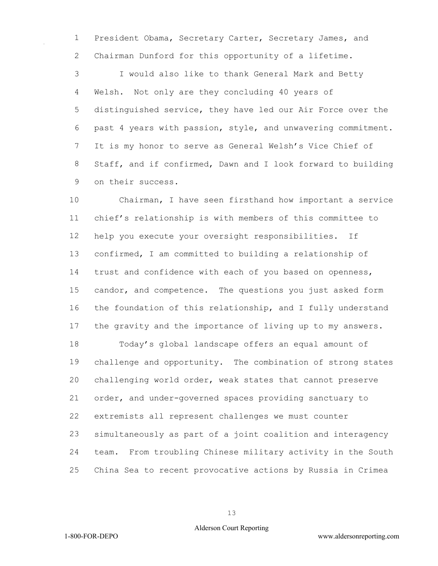President Obama, Secretary Carter, Secretary James, and Chairman Dunford for this opportunity of a lifetime.

 I would also like to thank General Mark and Betty Welsh. Not only are they concluding 40 years of distinguished service, they have led our Air Force over the past 4 years with passion, style, and unwavering commitment. It is my honor to serve as General Welsh's Vice Chief of Staff, and if confirmed, Dawn and I look forward to building on their success.

 Chairman, I have seen firsthand how important a service chief's relationship is with members of this committee to help you execute your oversight responsibilities. If confirmed, I am committed to building a relationship of trust and confidence with each of you based on openness, candor, and competence. The questions you just asked form the foundation of this relationship, and I fully understand the gravity and the importance of living up to my answers.

 Today's global landscape offers an equal amount of challenge and opportunity. The combination of strong states challenging world order, weak states that cannot preserve order, and under-governed spaces providing sanctuary to extremists all represent challenges we must counter simultaneously as part of a joint coalition and interagency team. From troubling Chinese military activity in the South China Sea to recent provocative actions by Russia in Crimea

### Alderson Court Reporting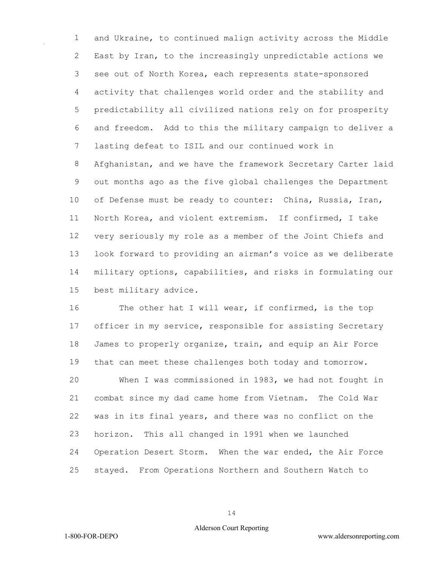and Ukraine, to continued malign activity across the Middle East by Iran, to the increasingly unpredictable actions we see out of North Korea, each represents state-sponsored activity that challenges world order and the stability and predictability all civilized nations rely on for prosperity and freedom. Add to this the military campaign to deliver a lasting defeat to ISIL and our continued work in Afghanistan, and we have the framework Secretary Carter laid out months ago as the five global challenges the Department of Defense must be ready to counter: China, Russia, Iran, North Korea, and violent extremism. If confirmed, I take very seriously my role as a member of the Joint Chiefs and look forward to providing an airman's voice as we deliberate military options, capabilities, and risks in formulating our best military advice.

16 The other hat I will wear, if confirmed, is the top 17 officer in my service, responsible for assisting Secretary James to properly organize, train, and equip an Air Force that can meet these challenges both today and tomorrow. When I was commissioned in 1983, we had not fought in combat since my dad came home from Vietnam. The Cold War was in its final years, and there was no conflict on the horizon. This all changed in 1991 when we launched Operation Desert Storm. When the war ended, the Air Force stayed. From Operations Northern and Southern Watch to

## Alderson Court Reporting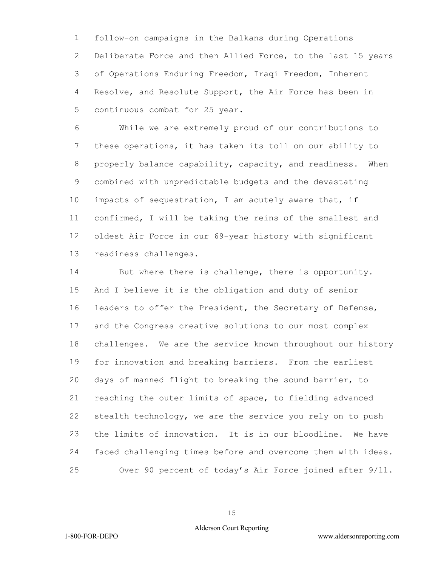follow-on campaigns in the Balkans during Operations Deliberate Force and then Allied Force, to the last 15 years of Operations Enduring Freedom, Iraqi Freedom, Inherent Resolve, and Resolute Support, the Air Force has been in continuous combat for 25 year.

 While we are extremely proud of our contributions to these operations, it has taken its toll on our ability to properly balance capability, capacity, and readiness. When combined with unpredictable budgets and the devastating impacts of sequestration, I am acutely aware that, if confirmed, I will be taking the reins of the smallest and oldest Air Force in our 69-year history with significant readiness challenges.

 But where there is challenge, there is opportunity. And I believe it is the obligation and duty of senior leaders to offer the President, the Secretary of Defense, and the Congress creative solutions to our most complex challenges. We are the service known throughout our history for innovation and breaking barriers. From the earliest days of manned flight to breaking the sound barrier, to reaching the outer limits of space, to fielding advanced stealth technology, we are the service you rely on to push the limits of innovation. It is in our bloodline. We have faced challenging times before and overcome them with ideas. Over 90 percent of today's Air Force joined after 9/11.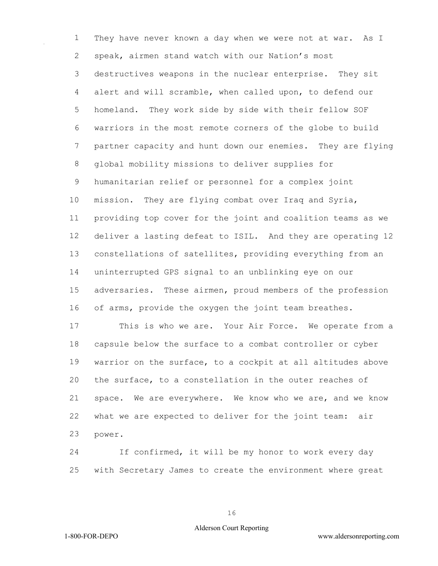They have never known a day when we were not at war. As I speak, airmen stand watch with our Nation's most destructives weapons in the nuclear enterprise. They sit alert and will scramble, when called upon, to defend our homeland. They work side by side with their fellow SOF warriors in the most remote corners of the globe to build partner capacity and hunt down our enemies. They are flying global mobility missions to deliver supplies for humanitarian relief or personnel for a complex joint mission. They are flying combat over Iraq and Syria, providing top cover for the joint and coalition teams as we deliver a lasting defeat to ISIL. And they are operating 12 constellations of satellites, providing everything from an uninterrupted GPS signal to an unblinking eye on our adversaries. These airmen, proud members of the profession of arms, provide the oxygen the joint team breathes.

 This is who we are. Your Air Force. We operate from a capsule below the surface to a combat controller or cyber warrior on the surface, to a cockpit at all altitudes above the surface, to a constellation in the outer reaches of space. We are everywhere. We know who we are, and we know what we are expected to deliver for the joint team: air power.

 If confirmed, it will be my honor to work every day with Secretary James to create the environment where great

## Alderson Court Reporting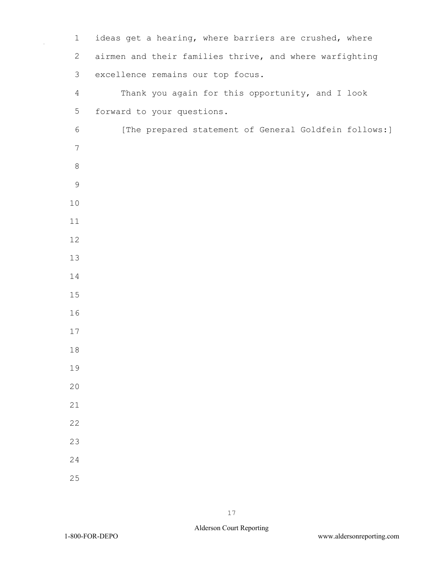| $\mathbf 1$     | ideas get a hearing, where barriers are crushed, where  |
|-----------------|---------------------------------------------------------|
| 2               | airmen and their families thrive, and where warfighting |
| 3               | excellence remains our top focus.                       |
| $\overline{4}$  | Thank you again for this opportunity, and I look        |
| 5               | forward to your questions.                              |
| $\sqrt{6}$      | [The prepared statement of General Goldfein follows:]   |
| $7\phantom{.0}$ |                                                         |
| $\,8\,$         |                                                         |
| $\mathsf 9$     |                                                         |
| 10              |                                                         |
| 11              |                                                         |
| 12              |                                                         |
| 13              |                                                         |
| 14              |                                                         |
| 15              |                                                         |
| 16              |                                                         |
| 17              |                                                         |
| 18              |                                                         |
| 19              |                                                         |
| 20              |                                                         |
| 21              |                                                         |
| 22              |                                                         |
| 23              |                                                         |
| 24              |                                                         |
| 25              |                                                         |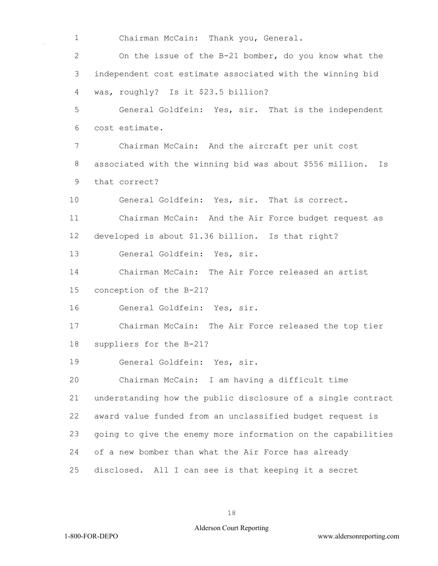Chairman McCain: Thank you, General.

 On the issue of the B-21 bomber, do you know what the independent cost estimate associated with the winning bid was, roughly? Is it \$23.5 billion?

 General Goldfein: Yes, sir. That is the independent cost estimate.

 Chairman McCain: And the aircraft per unit cost associated with the winning bid was about \$556 million. Is that correct?

General Goldfein: Yes, sir. That is correct.

 Chairman McCain: And the Air Force budget request as developed is about \$1.36 billion. Is that right?

General Goldfein: Yes, sir.

Chairman McCain: The Air Force released an artist

conception of the B-21?

General Goldfein: Yes, sir.

 Chairman McCain: The Air Force released the top tier suppliers for the B-21?

General Goldfein: Yes, sir.

 Chairman McCain: I am having a difficult time understanding how the public disclosure of a single contract award value funded from an unclassified budget request is going to give the enemy more information on the capabilities of a new bomber than what the Air Force has already disclosed. All I can see is that keeping it a secret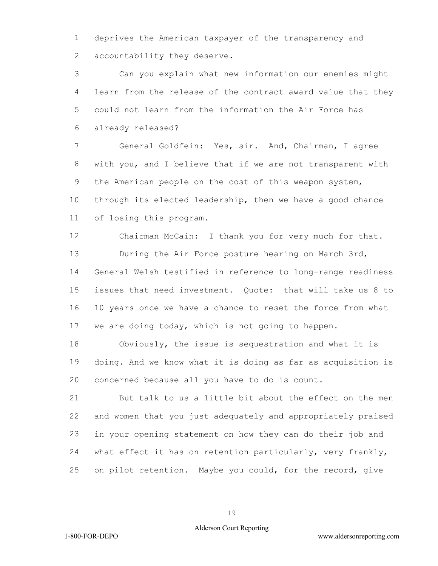deprives the American taxpayer of the transparency and 2 accountability they deserve.

 Can you explain what new information our enemies might learn from the release of the contract award value that they could not learn from the information the Air Force has already released?

 General Goldfein: Yes, sir. And, Chairman, I agree with you, and I believe that if we are not transparent with the American people on the cost of this weapon system, through its elected leadership, then we have a good chance of losing this program.

 Chairman McCain: I thank you for very much for that. During the Air Force posture hearing on March 3rd, General Welsh testified in reference to long-range readiness issues that need investment. Quote: that will take us 8 to 10 years once we have a chance to reset the force from what we are doing today, which is not going to happen.

 Obviously, the issue is sequestration and what it is doing. And we know what it is doing as far as acquisition is concerned because all you have to do is count.

 But talk to us a little bit about the effect on the men and women that you just adequately and appropriately praised in your opening statement on how they can do their job and what effect it has on retention particularly, very frankly, on pilot retention. Maybe you could, for the record, give

### Alderson Court Reporting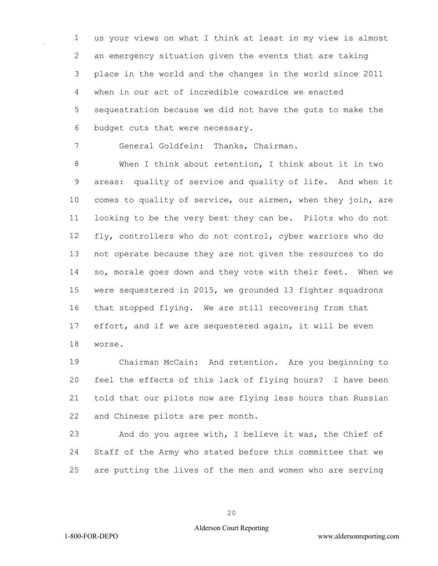us your views on what I think at least in my view is almost an emergency situation given the events that are taking place in the world and the changes in the world since 2011 when in our act of incredible cowardice we enacted sequestration because we did not have the guts to make the budget cuts that were necessary.

General Goldfein: Thanks, Chairman.

 When I think about retention, I think about it in two areas: quality of service and quality of life. And when it comes to quality of service, our airmen, when they join, are looking to be the very best they can be. Pilots who do not fly, controllers who do not control, cyber warriors who do not operate because they are not given the resources to do so, morale goes down and they vote with their feet. When we were sequestered in 2015, we grounded 13 fighter squadrons that stopped flying. We are still recovering from that effort, and if we are sequestered again, it will be even worse.

 Chairman McCain: And retention. Are you beginning to feel the effects of this lack of flying hours? I have been told that our pilots now are flying less hours than Russian and Chinese pilots are per month.

 And do you agree with, I believe it was, the Chief of Staff of the Army who stated before this committee that we are putting the lives of the men and women who are serving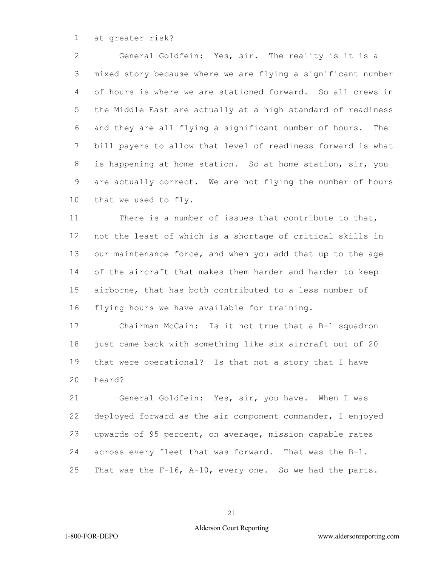at greater risk?

 General Goldfein: Yes, sir. The reality is it is a mixed story because where we are flying a significant number of hours is where we are stationed forward. So all crews in the Middle East are actually at a high standard of readiness and they are all flying a significant number of hours. The bill payers to allow that level of readiness forward is what is happening at home station. So at home station, sir, you are actually correct. We are not flying the number of hours that we used to fly.

 There is a number of issues that contribute to that, not the least of which is a shortage of critical skills in our maintenance force, and when you add that up to the age of the aircraft that makes them harder and harder to keep airborne, that has both contributed to a less number of flying hours we have available for training.

 Chairman McCain: Is it not true that a B-1 squadron just came back with something like six aircraft out of 20 that were operational? Is that not a story that I have heard?

 General Goldfein: Yes, sir, you have. When I was deployed forward as the air component commander, I enjoyed upwards of 95 percent, on average, mission capable rates across every fleet that was forward. That was the B-1. That was the F-16, A-10, every one. So we had the parts.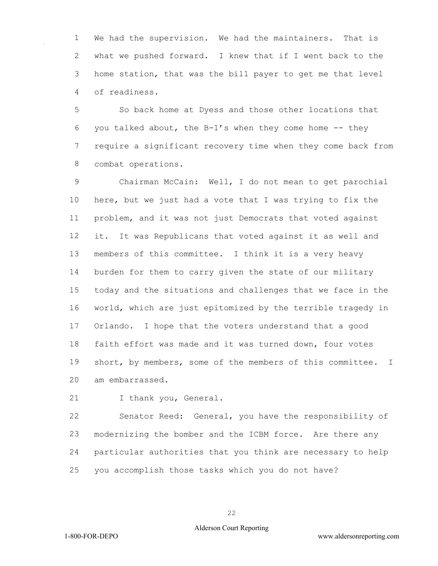We had the supervision. We had the maintainers. That is what we pushed forward. I knew that if I went back to the home station, that was the bill payer to get me that level of readiness.

 So back home at Dyess and those other locations that 6 you talked about, the  $B-1's$  when they come home  $-$ - they require a significant recovery time when they come back from combat operations.

 Chairman McCain: Well, I do not mean to get parochial here, but we just had a vote that I was trying to fix the problem, and it was not just Democrats that voted against it. It was Republicans that voted against it as well and members of this committee. I think it is a very heavy burden for them to carry given the state of our military today and the situations and challenges that we face in the world, which are just epitomized by the terrible tragedy in Orlando. I hope that the voters understand that a good faith effort was made and it was turned down, four votes short, by members, some of the members of this committee. I am embarrassed.

I thank you, General.

 Senator Reed: General, you have the responsibility of modernizing the bomber and the ICBM force. Are there any particular authorities that you think are necessary to help you accomplish those tasks which you do not have?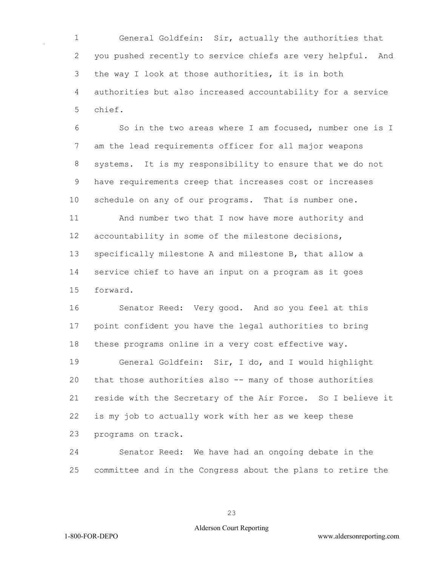General Goldfein: Sir, actually the authorities that you pushed recently to service chiefs are very helpful. And the way I look at those authorities, it is in both authorities but also increased accountability for a service chief.

 So in the two areas where I am focused, number one is I am the lead requirements officer for all major weapons systems. It is my responsibility to ensure that we do not have requirements creep that increases cost or increases schedule on any of our programs. That is number one. And number two that I now have more authority and accountability in some of the milestone decisions, specifically milestone A and milestone B, that allow a service chief to have an input on a program as it goes

forward.

 Senator Reed: Very good. And so you feel at this point confident you have the legal authorities to bring these programs online in a very cost effective way.

 General Goldfein: Sir, I do, and I would highlight that those authorities also -- many of those authorities reside with the Secretary of the Air Force. So I believe it is my job to actually work with her as we keep these programs on track.

 Senator Reed: We have had an ongoing debate in the committee and in the Congress about the plans to retire the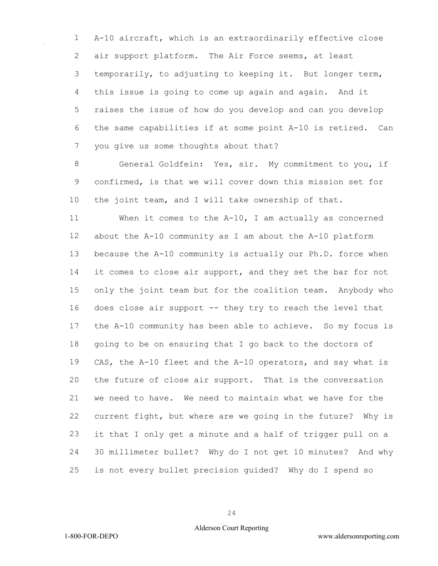A-10 aircraft, which is an extraordinarily effective close air support platform. The Air Force seems, at least temporarily, to adjusting to keeping it. But longer term, this issue is going to come up again and again. And it raises the issue of how do you develop and can you develop the same capabilities if at some point A-10 is retired. Can you give us some thoughts about that?

 General Goldfein: Yes, sir. My commitment to you, if confirmed, is that we will cover down this mission set for the joint team, and I will take ownership of that.

 When it comes to the A-10, I am actually as concerned about the A-10 community as I am about the A-10 platform because the A-10 community is actually our Ph.D. force when 14 it comes to close air support, and they set the bar for not only the joint team but for the coalition team. Anybody who does close air support -- they try to reach the level that the A-10 community has been able to achieve. So my focus is going to be on ensuring that I go back to the doctors of CAS, the A-10 fleet and the A-10 operators, and say what is the future of close air support. That is the conversation we need to have. We need to maintain what we have for the current fight, but where are we going in the future? Why is it that I only get a minute and a half of trigger pull on a 30 millimeter bullet? Why do I not get 10 minutes? And why is not every bullet precision guided? Why do I spend so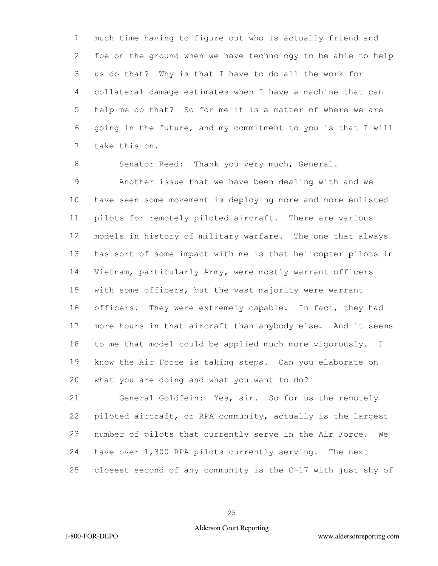much time having to figure out who is actually friend and foe on the ground when we have technology to be able to help us do that? Why is that I have to do all the work for collateral damage estimates when I have a machine that can help me do that? So for me it is a matter of where we are going in the future, and my commitment to you is that I will take this on.

8 Senator Reed: Thank you very much, General. Another issue that we have been dealing with and we have seen some movement is deploying more and more enlisted pilots for remotely piloted aircraft. There are various models in history of military warfare. The one that always has sort of some impact with me is that helicopter pilots in Vietnam, particularly Army, were mostly warrant officers with some officers, but the vast majority were warrant officers. They were extremely capable. In fact, they had more hours in that aircraft than anybody else. And it seems to me that model could be applied much more vigorously. I know the Air Force is taking steps. Can you elaborate on what you are doing and what you want to do?

 General Goldfein: Yes, sir. So for us the remotely piloted aircraft, or RPA community, actually is the largest number of pilots that currently serve in the Air Force. We have over 1,300 RPA pilots currently serving. The next closest second of any community is the C-17 with just shy of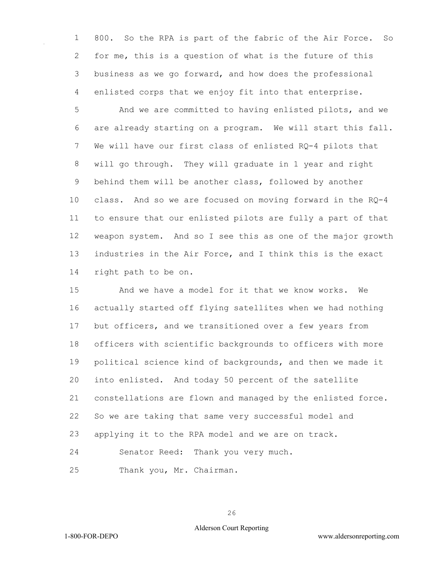800. So the RPA is part of the fabric of the Air Force. So for me, this is a question of what is the future of this business as we go forward, and how does the professional enlisted corps that we enjoy fit into that enterprise.

 And we are committed to having enlisted pilots, and we are already starting on a program. We will start this fall. We will have our first class of enlisted RQ-4 pilots that will go through. They will graduate in 1 year and right behind them will be another class, followed by another class. And so we are focused on moving forward in the RQ-4 to ensure that our enlisted pilots are fully a part of that weapon system. And so I see this as one of the major growth industries in the Air Force, and I think this is the exact right path to be on.

 And we have a model for it that we know works. We actually started off flying satellites when we had nothing but officers, and we transitioned over a few years from officers with scientific backgrounds to officers with more political science kind of backgrounds, and then we made it into enlisted. And today 50 percent of the satellite constellations are flown and managed by the enlisted force. So we are taking that same very successful model and applying it to the RPA model and we are on track.

Senator Reed: Thank you very much.

Thank you, Mr. Chairman.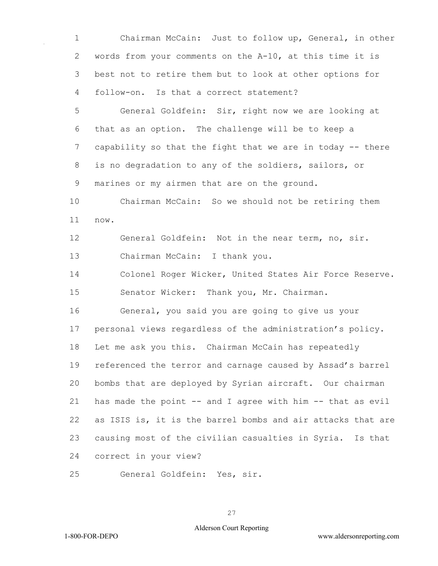1 Chairman McCain: Just to follow up, General, in other 2 words from your comments on the A-10, at this time it is 3 best not to retire them but to look at other options for 4 follow-on. Is that a correct statement?

5 General Goldfein: Sir, right now we are looking at 6 that as an option. The challenge will be to keep a 7 capability so that the fight that we are in today -- there 8 is no degradation to any of the soldiers, sailors, or 9 marines or my airmen that are on the ground.

10 Chairman McCain: So we should not be retiring them 11 now.

12 General Goldfein: Not in the near term, no, sir. 13 Chairman McCain: I thank you.

14 Colonel Roger Wicker, United States Air Force Reserve. 15 Senator Wicker: Thank you, Mr. Chairman.

16 General, you said you are going to give us your 17 personal views regardless of the administration's policy. 18 Let me ask you this. Chairman McCain has repeatedly 19 referenced the terror and carnage caused by Assad's barrel 20 bombs that are deployed by Syrian aircraft. Our chairman 21 has made the point -- and I agree with him -- that as evil 22 as ISIS is, it is the barrel bombs and air attacks that are 23 causing most of the civilian casualties in Syria. Is that 24 correct in your view?

25 General Goldfein: Yes, sir.

27

# Alderson Court Reporting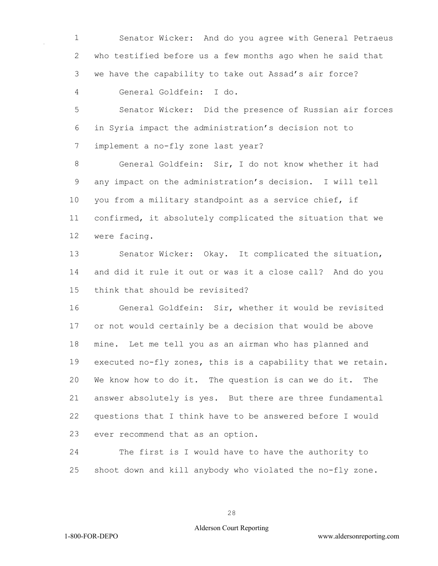Senator Wicker: And do you agree with General Petraeus who testified before us a few months ago when he said that we have the capability to take out Assad's air force? General Goldfein: I do.

 Senator Wicker: Did the presence of Russian air forces in Syria impact the administration's decision not to implement a no-fly zone last year?

 General Goldfein: Sir, I do not know whether it had any impact on the administration's decision. I will tell you from a military standpoint as a service chief, if confirmed, it absolutely complicated the situation that we were facing.

 Senator Wicker: Okay. It complicated the situation, and did it rule it out or was it a close call? And do you think that should be revisited?

 General Goldfein: Sir, whether it would be revisited or not would certainly be a decision that would be above mine. Let me tell you as an airman who has planned and executed no-fly zones, this is a capability that we retain. We know how to do it. The question is can we do it. The answer absolutely is yes. But there are three fundamental questions that I think have to be answered before I would ever recommend that as an option.

 The first is I would have to have the authority to shoot down and kill anybody who violated the no-fly zone.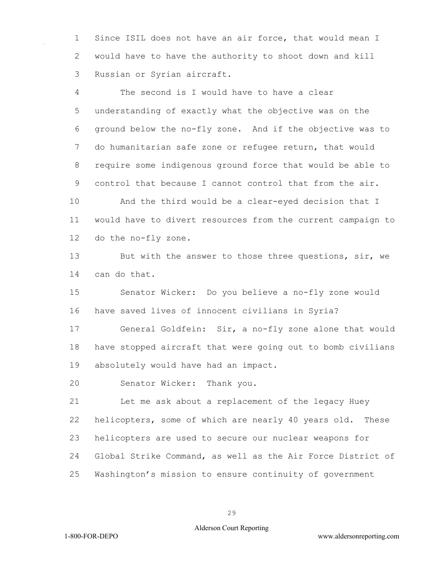1 Since ISIL does not have an air force, that would mean I 2 would have to have the authority to shoot down and kill 3 Russian or Syrian aircraft.

4 The second is I would have to have a clear 5 understanding of exactly what the objective was on the 6 ground below the no-fly zone. And if the objective was to 7 do humanitarian safe zone or refugee return, that would 8 require some indigenous ground force that would be able to 9 control that because I cannot control that from the air.

10 And the third would be a clear-eyed decision that I 11 would have to divert resources from the current campaign to 12 do the no-fly zone.

13 But with the answer to those three questions, sir, we 14 can do that.

15 Senator Wicker: Do you believe a no-fly zone would 16 have saved lives of innocent civilians in Syria?

17 General Goldfein: Sir, a no-fly zone alone that would 18 have stopped aircraft that were going out to bomb civilians 19 absolutely would have had an impact.

20 Senator Wicker: Thank you.

21 Let me ask about a replacement of the legacy Huey 22 helicopters, some of which are nearly 40 years old. These 23 helicopters are used to secure our nuclear weapons for 24 Global Strike Command, as well as the Air Force District of 25 Washington's mission to ensure continuity of government

29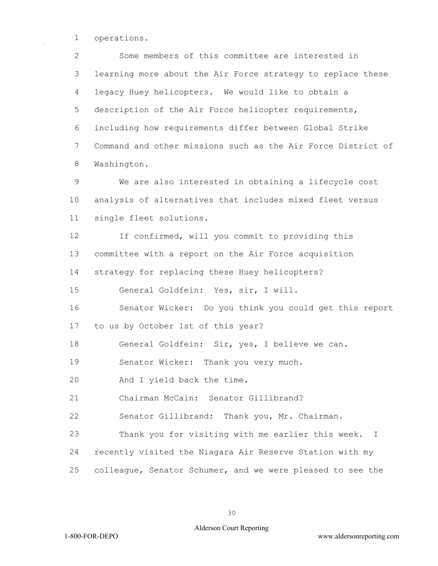operations.

 Some members of this committee are interested in learning more about the Air Force strategy to replace these legacy Huey helicopters. We would like to obtain a description of the Air Force helicopter requirements, including how requirements differ between Global Strike Command and other missions such as the Air Force District of Washington.

 We are also interested in obtaining a lifecycle cost analysis of alternatives that includes mixed fleet versus single fleet solutions.

 If confirmed, will you commit to providing this committee with a report on the Air Force acquisition strategy for replacing these Huey helicopters?

General Goldfein: Yes, sir, I will.

 Senator Wicker: Do you think you could get this report to us by October 1st of this year?

General Goldfein: Sir, yes, I believe we can.

Senator Wicker: Thank you very much.

And I yield back the time.

Chairman McCain: Senator Gillibrand?

Senator Gillibrand: Thank you, Mr. Chairman.

 Thank you for visiting with me earlier this week. I recently visited the Niagara Air Reserve Station with my

colleague, Senator Schumer, and we were pleased to see the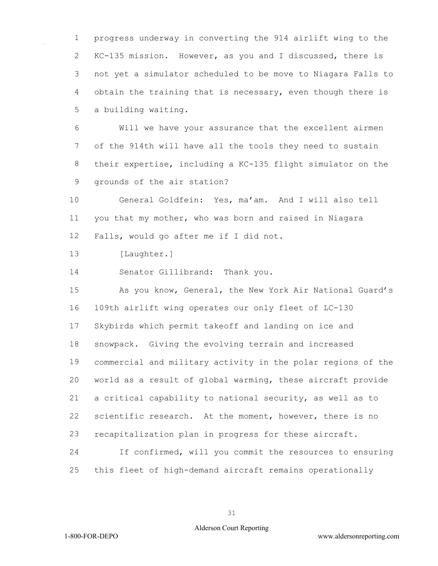progress underway in converting the 914 airlift wing to the KC-135 mission. However, as you and I discussed, there is not yet a simulator scheduled to be move to Niagara Falls to obtain the training that is necessary, even though there is a building waiting.

 Will we have your assurance that the excellent airmen of the 914th will have all the tools they need to sustain their expertise, including a KC-135 flight simulator on the grounds of the air station?

 General Goldfein: Yes, ma'am. And I will also tell you that my mother, who was born and raised in Niagara Falls, would go after me if I did not.

[Laughter.]

Senator Gillibrand: Thank you.

 As you know, General, the New York Air National Guard's 109th airlift wing operates our only fleet of LC-130 Skybirds which permit takeoff and landing on ice and snowpack. Giving the evolving terrain and increased commercial and military activity in the polar regions of the world as a result of global warming, these aircraft provide a critical capability to national security, as well as to scientific research. At the moment, however, there is no recapitalization plan in progress for these aircraft. If confirmed, will you commit the resources to ensuring

this fleet of high-demand aircraft remains operationally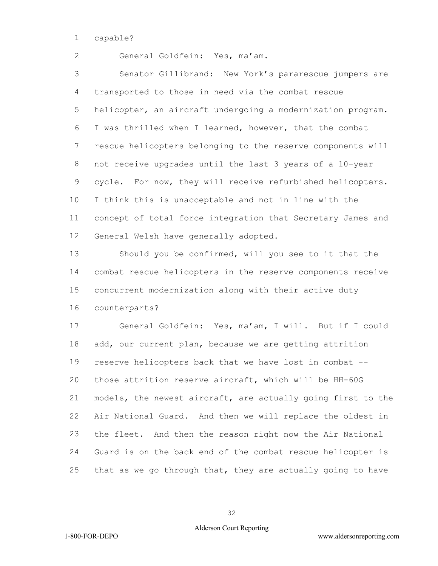capable?

General Goldfein: Yes, ma'am.

 Senator Gillibrand: New York's pararescue jumpers are transported to those in need via the combat rescue helicopter, an aircraft undergoing a modernization program. I was thrilled when I learned, however, that the combat rescue helicopters belonging to the reserve components will not receive upgrades until the last 3 years of a 10-year cycle. For now, they will receive refurbished helicopters. I think this is unacceptable and not in line with the concept of total force integration that Secretary James and General Welsh have generally adopted.

 Should you be confirmed, will you see to it that the combat rescue helicopters in the reserve components receive concurrent modernization along with their active duty counterparts?

 General Goldfein: Yes, ma'am, I will. But if I could add, our current plan, because we are getting attrition reserve helicopters back that we have lost in combat -- those attrition reserve aircraft, which will be HH-60G models, the newest aircraft, are actually going first to the Air National Guard. And then we will replace the oldest in the fleet. And then the reason right now the Air National Guard is on the back end of the combat rescue helicopter is that as we go through that, they are actually going to have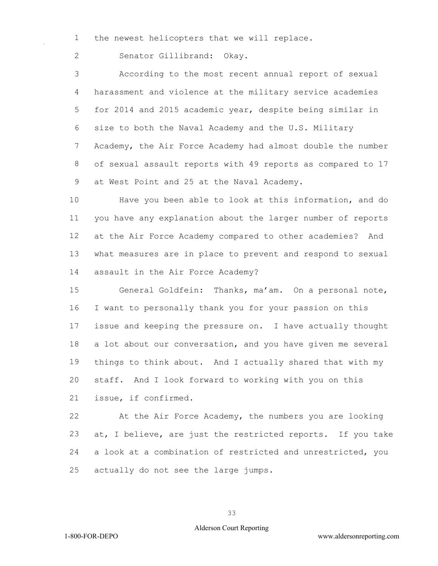the newest helicopters that we will replace.

Senator Gillibrand: Okay.

 According to the most recent annual report of sexual harassment and violence at the military service academies for 2014 and 2015 academic year, despite being similar in size to both the Naval Academy and the U.S. Military Academy, the Air Force Academy had almost double the number of sexual assault reports with 49 reports as compared to 17 9 at West Point and 25 at the Naval Academy.

 Have you been able to look at this information, and do you have any explanation about the larger number of reports at the Air Force Academy compared to other academies? And what measures are in place to prevent and respond to sexual assault in the Air Force Academy?

 General Goldfein: Thanks, ma'am. On a personal note, I want to personally thank you for your passion on this issue and keeping the pressure on. I have actually thought a lot about our conversation, and you have given me several things to think about. And I actually shared that with my staff. And I look forward to working with you on this issue, if confirmed.

 At the Air Force Academy, the numbers you are looking at, I believe, are just the restricted reports. If you take a look at a combination of restricted and unrestricted, you actually do not see the large jumps.

# Alderson Court Reporting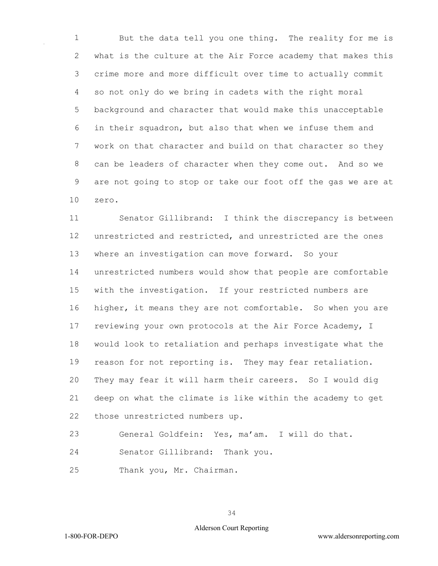But the data tell you one thing. The reality for me is what is the culture at the Air Force academy that makes this crime more and more difficult over time to actually commit so not only do we bring in cadets with the right moral background and character that would make this unacceptable in their squadron, but also that when we infuse them and work on that character and build on that character so they can be leaders of character when they come out. And so we are not going to stop or take our foot off the gas we are at zero.

 Senator Gillibrand: I think the discrepancy is between unrestricted and restricted, and unrestricted are the ones where an investigation can move forward. So your unrestricted numbers would show that people are comfortable with the investigation. If your restricted numbers are higher, it means they are not comfortable. So when you are reviewing your own protocols at the Air Force Academy, I would look to retaliation and perhaps investigate what the reason for not reporting is. They may fear retaliation. They may fear it will harm their careers. So I would dig deep on what the climate is like within the academy to get those unrestricted numbers up.

General Goldfein: Yes, ma'am. I will do that.

Senator Gillibrand: Thank you.

Thank you, Mr. Chairman.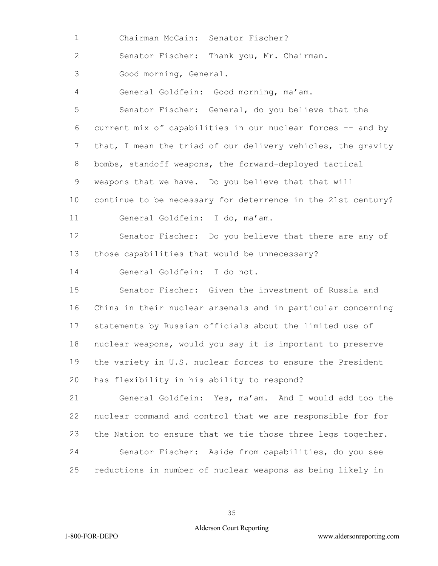Chairman McCain: Senator Fischer?

Senator Fischer: Thank you, Mr. Chairman.

Good morning, General.

General Goldfein: Good morning, ma'am.

 Senator Fischer: General, do you believe that the current mix of capabilities in our nuclear forces -- and by 7 that, I mean the triad of our delivery vehicles, the gravity bombs, standoff weapons, the forward-deployed tactical 9 weapons that we have. Do you believe that that will continue to be necessary for deterrence in the 21st century? General Goldfein: I do, ma'am.

 Senator Fischer: Do you believe that there are any of those capabilities that would be unnecessary?

General Goldfein: I do not.

 Senator Fischer: Given the investment of Russia and China in their nuclear arsenals and in particular concerning statements by Russian officials about the limited use of nuclear weapons, would you say it is important to preserve the variety in U.S. nuclear forces to ensure the President has flexibility in his ability to respond?

 General Goldfein: Yes, ma'am. And I would add too the nuclear command and control that we are responsible for for the Nation to ensure that we tie those three legs together. Senator Fischer: Aside from capabilities, do you see reductions in number of nuclear weapons as being likely in

### Alderson Court Reporting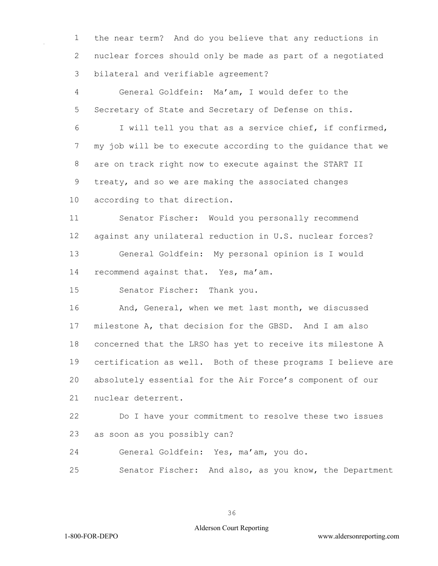the near term? And do you believe that any reductions in nuclear forces should only be made as part of a negotiated bilateral and verifiable agreement?

 General Goldfein: Ma'am, I would defer to the Secretary of State and Secretary of Defense on this.

 I will tell you that as a service chief, if confirmed, my job will be to execute according to the guidance that we are on track right now to execute against the START II treaty, and so we are making the associated changes according to that direction.

 Senator Fischer: Would you personally recommend against any unilateral reduction in U.S. nuclear forces? General Goldfein: My personal opinion is I would recommend against that. Yes, ma'am.

Senator Fischer: Thank you.

 And, General, when we met last month, we discussed milestone A, that decision for the GBSD. And I am also concerned that the LRSO has yet to receive its milestone A certification as well. Both of these programs I believe are absolutely essential for the Air Force's component of our nuclear deterrent.

 Do I have your commitment to resolve these two issues as soon as you possibly can?

General Goldfein: Yes, ma'am, you do.

Senator Fischer: And also, as you know, the Department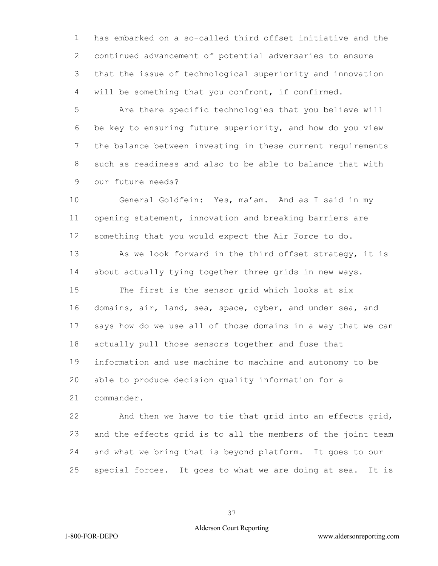has embarked on a so-called third offset initiative and the continued advancement of potential adversaries to ensure that the issue of technological superiority and innovation will be something that you confront, if confirmed.

 Are there specific technologies that you believe will be key to ensuring future superiority, and how do you view the balance between investing in these current requirements such as readiness and also to be able to balance that with our future needs?

 General Goldfein: Yes, ma'am. And as I said in my opening statement, innovation and breaking barriers are something that you would expect the Air Force to do.

 As we look forward in the third offset strategy, it is about actually tying together three grids in new ways.

 The first is the sensor grid which looks at six domains, air, land, sea, space, cyber, and under sea, and says how do we use all of those domains in a way that we can actually pull those sensors together and fuse that information and use machine to machine and autonomy to be able to produce decision quality information for a commander.

 And then we have to tie that grid into an effects grid, and the effects grid is to all the members of the joint team and what we bring that is beyond platform. It goes to our special forces. It goes to what we are doing at sea. It is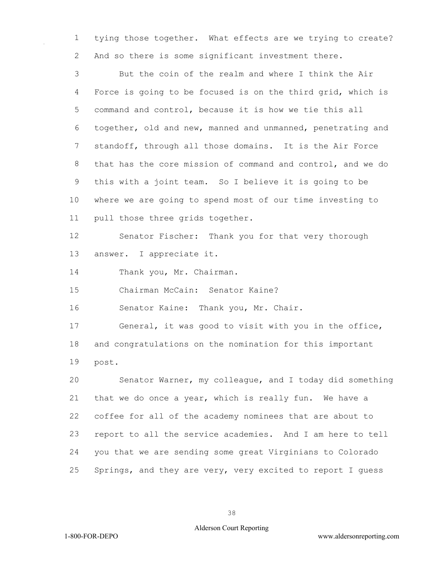tying those together. What effects are we trying to create? And so there is some significant investment there.

 But the coin of the realm and where I think the Air Force is going to be focused is on the third grid, which is command and control, because it is how we tie this all together, old and new, manned and unmanned, penetrating and standoff, through all those domains. It is the Air Force that has the core mission of command and control, and we do this with a joint team. So I believe it is going to be where we are going to spend most of our time investing to pull those three grids together.

 Senator Fischer: Thank you for that very thorough answer. I appreciate it.

14 Thank you, Mr. Chairman.

Chairman McCain: Senator Kaine?

Senator Kaine: Thank you, Mr. Chair.

 General, it was good to visit with you in the office, and congratulations on the nomination for this important post.

 Senator Warner, my colleague, and I today did something that we do once a year, which is really fun. We have a coffee for all of the academy nominees that are about to report to all the service academies. And I am here to tell you that we are sending some great Virginians to Colorado Springs, and they are very, very excited to report I guess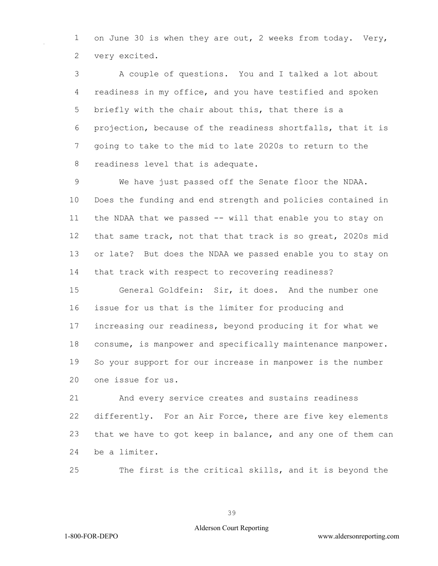1 on June 30 is when they are out, 2 weeks from today. Very, very excited.

 A couple of questions. You and I talked a lot about readiness in my office, and you have testified and spoken briefly with the chair about this, that there is a projection, because of the readiness shortfalls, that it is going to take to the mid to late 2020s to return to the readiness level that is adequate.

 We have just passed off the Senate floor the NDAA. Does the funding and end strength and policies contained in 11 the NDAA that we passed -- will that enable you to stay on that same track, not that that track is so great, 2020s mid or late? But does the NDAA we passed enable you to stay on that track with respect to recovering readiness?

 General Goldfein: Sir, it does. And the number one issue for us that is the limiter for producing and increasing our readiness, beyond producing it for what we consume, is manpower and specifically maintenance manpower. So your support for our increase in manpower is the number one issue for us.

 And every service creates and sustains readiness differently. For an Air Force, there are five key elements that we have to got keep in balance, and any one of them can be a limiter.

The first is the critical skills, and it is beyond the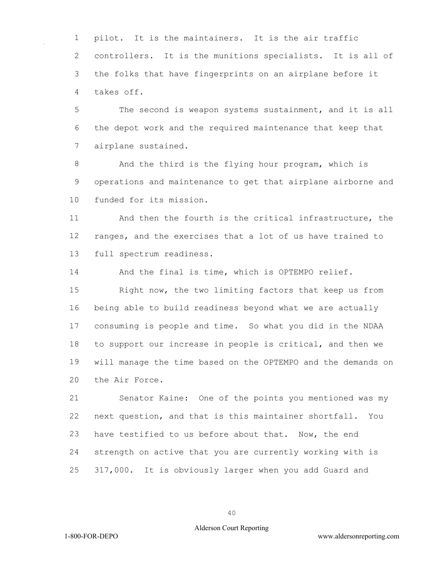pilot. It is the maintainers. It is the air traffic controllers. It is the munitions specialists. It is all of the folks that have fingerprints on an airplane before it takes off.

 The second is weapon systems sustainment, and it is all the depot work and the required maintenance that keep that airplane sustained.

 And the third is the flying hour program, which is operations and maintenance to get that airplane airborne and funded for its mission.

 And then the fourth is the critical infrastructure, the ranges, and the exercises that a lot of us have trained to full spectrum readiness.

And the final is time, which is OPTEMPO relief.

 Right now, the two limiting factors that keep us from being able to build readiness beyond what we are actually consuming is people and time. So what you did in the NDAA to support our increase in people is critical, and then we will manage the time based on the OPTEMPO and the demands on the Air Force.

 Senator Kaine: One of the points you mentioned was my next question, and that is this maintainer shortfall. You have testified to us before about that. Now, the end strength on active that you are currently working with is 317,000. It is obviously larger when you add Guard and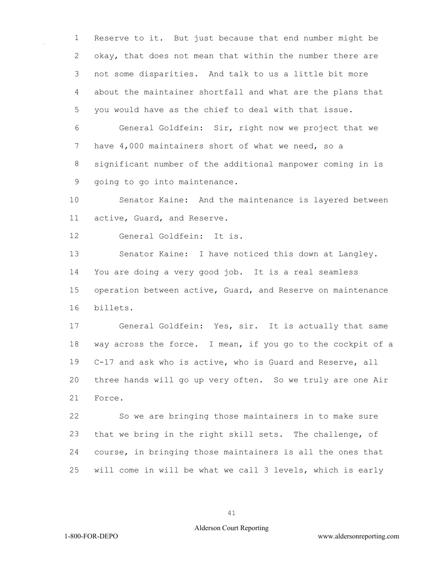Reserve to it. But just because that end number might be okay, that does not mean that within the number there are not some disparities. And talk to us a little bit more about the maintainer shortfall and what are the plans that you would have as the chief to deal with that issue.

 General Goldfein: Sir, right now we project that we 7 have 4,000 maintainers short of what we need, so a significant number of the additional manpower coming in is going to go into maintenance.

 Senator Kaine: And the maintenance is layered between active, Guard, and Reserve.

General Goldfein: It is.

 Senator Kaine: I have noticed this down at Langley. You are doing a very good job. It is a real seamless operation between active, Guard, and Reserve on maintenance billets.

 General Goldfein: Yes, sir. It is actually that same way across the force. I mean, if you go to the cockpit of a C-17 and ask who is active, who is Guard and Reserve, all three hands will go up very often. So we truly are one Air Force.

 So we are bringing those maintainers in to make sure that we bring in the right skill sets. The challenge, of course, in bringing those maintainers is all the ones that will come in will be what we call 3 levels, which is early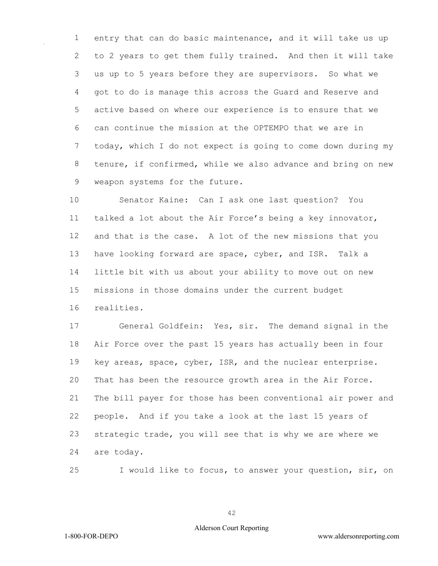entry that can do basic maintenance, and it will take us up to 2 years to get them fully trained. And then it will take us up to 5 years before they are supervisors. So what we got to do is manage this across the Guard and Reserve and active based on where our experience is to ensure that we can continue the mission at the OPTEMPO that we are in today, which I do not expect is going to come down during my tenure, if confirmed, while we also advance and bring on new weapon systems for the future.

 Senator Kaine: Can I ask one last question? You talked a lot about the Air Force's being a key innovator, and that is the case. A lot of the new missions that you have looking forward are space, cyber, and ISR. Talk a little bit with us about your ability to move out on new missions in those domains under the current budget realities.

 General Goldfein: Yes, sir. The demand signal in the Air Force over the past 15 years has actually been in four key areas, space, cyber, ISR, and the nuclear enterprise. That has been the resource growth area in the Air Force. The bill payer for those has been conventional air power and people. And if you take a look at the last 15 years of strategic trade, you will see that is why we are where we are today.

I would like to focus, to answer your question, sir, on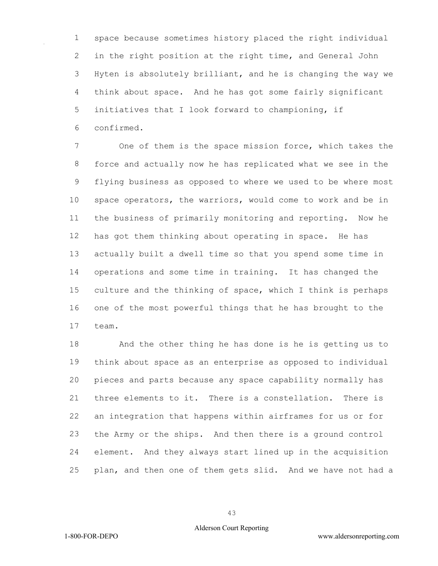space because sometimes history placed the right individual in the right position at the right time, and General John Hyten is absolutely brilliant, and he is changing the way we think about space. And he has got some fairly significant initiatives that I look forward to championing, if confirmed.

 One of them is the space mission force, which takes the force and actually now he has replicated what we see in the flying business as opposed to where we used to be where most space operators, the warriors, would come to work and be in the business of primarily monitoring and reporting. Now he has got them thinking about operating in space. He has actually built a dwell time so that you spend some time in operations and some time in training. It has changed the culture and the thinking of space, which I think is perhaps one of the most powerful things that he has brought to the team.

 And the other thing he has done is he is getting us to think about space as an enterprise as opposed to individual pieces and parts because any space capability normally has three elements to it. There is a constellation. There is an integration that happens within airframes for us or for the Army or the ships. And then there is a ground control element. And they always start lined up in the acquisition plan, and then one of them gets slid. And we have not had a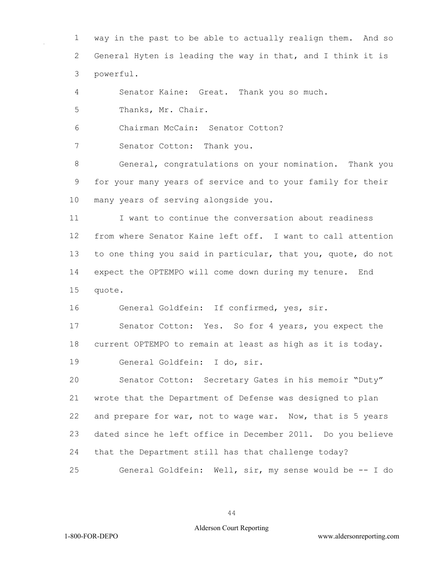way in the past to be able to actually realign them. And so General Hyten is leading the way in that, and I think it is powerful.

Senator Kaine: Great. Thank you so much.

Thanks, Mr. Chair.

Chairman McCain: Senator Cotton?

Senator Cotton: Thank you.

 General, congratulations on your nomination. Thank you for your many years of service and to your family for their many years of serving alongside you.

 I want to continue the conversation about readiness from where Senator Kaine left off. I want to call attention to one thing you said in particular, that you, quote, do not expect the OPTEMPO will come down during my tenure. End quote.

General Goldfein: If confirmed, yes, sir.

 Senator Cotton: Yes. So for 4 years, you expect the current OPTEMPO to remain at least as high as it is today. General Goldfein: I do, sir.

 Senator Cotton: Secretary Gates in his memoir "Duty" wrote that the Department of Defense was designed to plan and prepare for war, not to wage war. Now, that is 5 years dated since he left office in December 2011. Do you believe that the Department still has that challenge today?

General Goldfein: Well, sir, my sense would be -- I do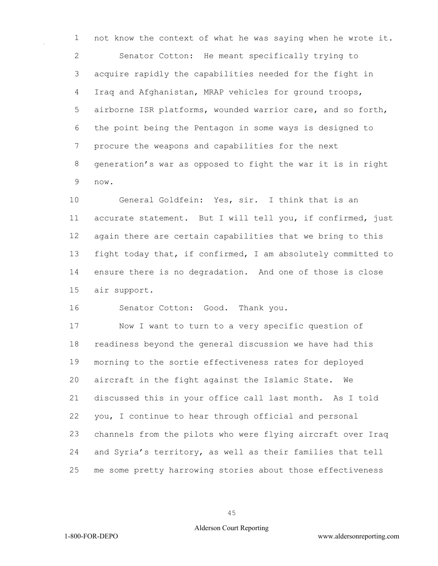not know the context of what he was saying when he wrote it. Senator Cotton: He meant specifically trying to acquire rapidly the capabilities needed for the fight in Iraq and Afghanistan, MRAP vehicles for ground troops, airborne ISR platforms, wounded warrior care, and so forth, the point being the Pentagon in some ways is designed to procure the weapons and capabilities for the next generation's war as opposed to fight the war it is in right now.

 General Goldfein: Yes, sir. I think that is an accurate statement. But I will tell you, if confirmed, just again there are certain capabilities that we bring to this fight today that, if confirmed, I am absolutely committed to ensure there is no degradation. And one of those is close air support.

Senator Cotton: Good. Thank you.

 Now I want to turn to a very specific question of readiness beyond the general discussion we have had this morning to the sortie effectiveness rates for deployed aircraft in the fight against the Islamic State. We discussed this in your office call last month. As I told you, I continue to hear through official and personal channels from the pilots who were flying aircraft over Iraq and Syria's territory, as well as their families that tell me some pretty harrowing stories about those effectiveness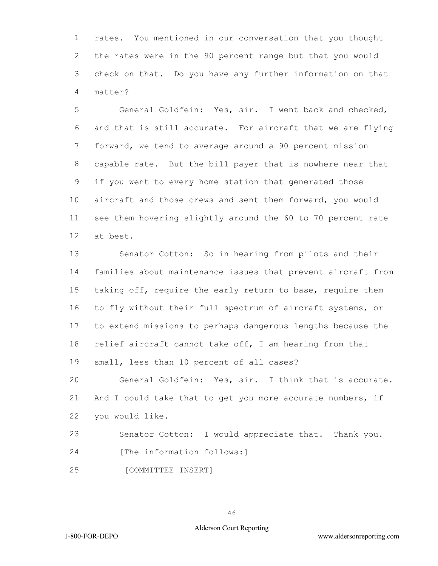rates. You mentioned in our conversation that you thought the rates were in the 90 percent range but that you would check on that. Do you have any further information on that matter?

 General Goldfein: Yes, sir. I went back and checked, and that is still accurate. For aircraft that we are flying forward, we tend to average around a 90 percent mission capable rate. But the bill payer that is nowhere near that if you went to every home station that generated those aircraft and those crews and sent them forward, you would see them hovering slightly around the 60 to 70 percent rate at best.

 Senator Cotton: So in hearing from pilots and their families about maintenance issues that prevent aircraft from taking off, require the early return to base, require them to fly without their full spectrum of aircraft systems, or to extend missions to perhaps dangerous lengths because the relief aircraft cannot take off, I am hearing from that small, less than 10 percent of all cases?

 General Goldfein: Yes, sir. I think that is accurate. 21 And I could take that to get you more accurate numbers, if you would like.

 Senator Cotton: I would appreciate that. Thank you. 24 [The information follows:]

[COMMITTEE INSERT]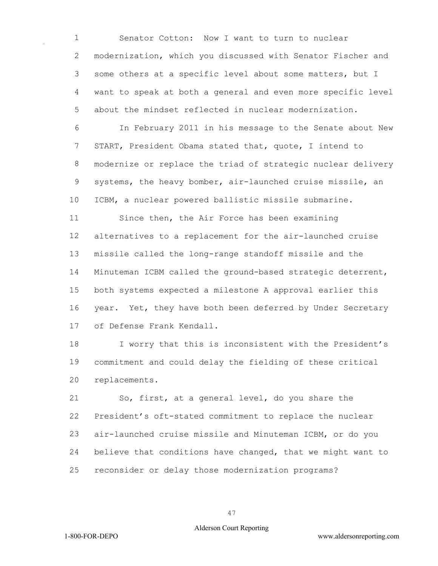Senator Cotton: Now I want to turn to nuclear modernization, which you discussed with Senator Fischer and some others at a specific level about some matters, but I want to speak at both a general and even more specific level about the mindset reflected in nuclear modernization.

 In February 2011 in his message to the Senate about New START, President Obama stated that, quote, I intend to modernize or replace the triad of strategic nuclear delivery systems, the heavy bomber, air-launched cruise missile, an ICBM, a nuclear powered ballistic missile submarine.

 Since then, the Air Force has been examining alternatives to a replacement for the air-launched cruise missile called the long-range standoff missile and the Minuteman ICBM called the ground-based strategic deterrent, both systems expected a milestone A approval earlier this 16 year. Yet, they have both been deferred by Under Secretary of Defense Frank Kendall.

 I worry that this is inconsistent with the President's commitment and could delay the fielding of these critical replacements.

 So, first, at a general level, do you share the President's oft-stated commitment to replace the nuclear air-launched cruise missile and Minuteman ICBM, or do you believe that conditions have changed, that we might want to reconsider or delay those modernization programs?

## Alderson Court Reporting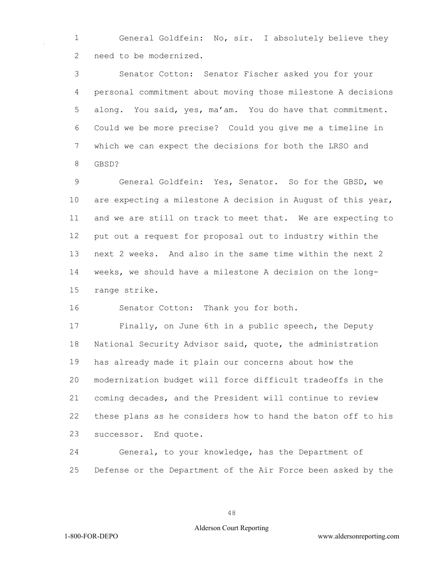General Goldfein: No, sir. I absolutely believe they need to be modernized.

 Senator Cotton: Senator Fischer asked you for your personal commitment about moving those milestone A decisions along. You said, yes, ma'am. You do have that commitment. Could we be more precise? Could you give me a timeline in which we can expect the decisions for both the LRSO and GBSD?

 General Goldfein: Yes, Senator. So for the GBSD, we are expecting a milestone A decision in August of this year, and we are still on track to meet that. We are expecting to put out a request for proposal out to industry within the next 2 weeks. And also in the same time within the next 2 weeks, we should have a milestone A decision on the long-range strike.

Senator Cotton: Thank you for both.

 Finally, on June 6th in a public speech, the Deputy National Security Advisor said, quote, the administration has already made it plain our concerns about how the modernization budget will force difficult tradeoffs in the coming decades, and the President will continue to review these plans as he considers how to hand the baton off to his successor. End quote.

 General, to your knowledge, has the Department of Defense or the Department of the Air Force been asked by the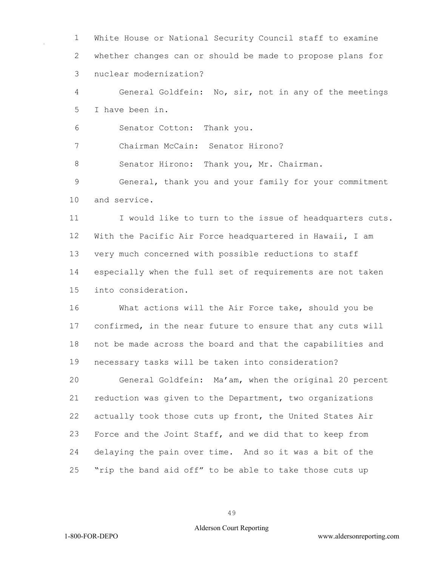White House or National Security Council staff to examine whether changes can or should be made to propose plans for nuclear modernization?

 General Goldfein: No, sir, not in any of the meetings I have been in.

Senator Cotton: Thank you.

Chairman McCain: Senator Hirono?

8 Senator Hirono: Thank you, Mr. Chairman.

 General, thank you and your family for your commitment and service.

11 I would like to turn to the issue of headquarters cuts. With the Pacific Air Force headquartered in Hawaii, I am very much concerned with possible reductions to staff especially when the full set of requirements are not taken into consideration.

 What actions will the Air Force take, should you be confirmed, in the near future to ensure that any cuts will not be made across the board and that the capabilities and necessary tasks will be taken into consideration?

 General Goldfein: Ma'am, when the original 20 percent reduction was given to the Department, two organizations actually took those cuts up front, the United States Air Force and the Joint Staff, and we did that to keep from delaying the pain over time. And so it was a bit of the "rip the band aid off" to be able to take those cuts up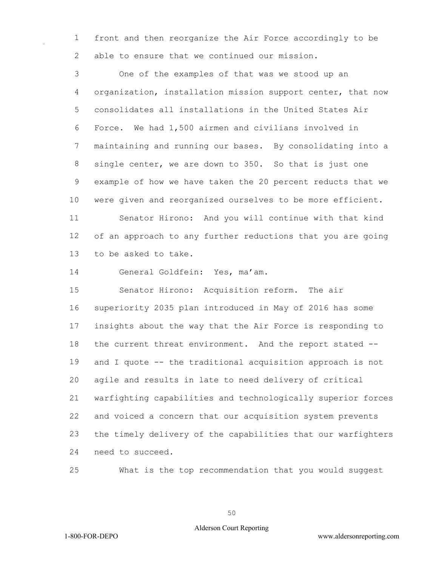front and then reorganize the Air Force accordingly to be able to ensure that we continued our mission.

 One of the examples of that was we stood up an organization, installation mission support center, that now consolidates all installations in the United States Air Force. We had 1,500 airmen and civilians involved in maintaining and running our bases. By consolidating into a single center, we are down to 350. So that is just one example of how we have taken the 20 percent reducts that we were given and reorganized ourselves to be more efficient. Senator Hirono: And you will continue with that kind of an approach to any further reductions that you are going to be asked to take.

General Goldfein: Yes, ma'am.

 Senator Hirono: Acquisition reform. The air superiority 2035 plan introduced in May of 2016 has some insights about the way that the Air Force is responding to the current threat environment. And the report stated -- and I quote -- the traditional acquisition approach is not agile and results in late to need delivery of critical warfighting capabilities and technologically superior forces and voiced a concern that our acquisition system prevents the timely delivery of the capabilities that our warfighters need to succeed.

What is the top recommendation that you would suggest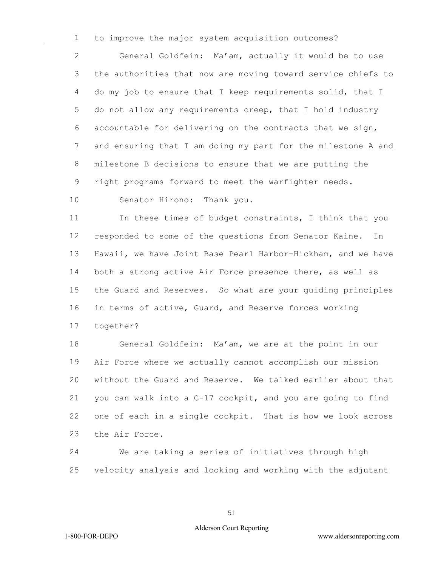to improve the major system acquisition outcomes?

 General Goldfein: Ma'am, actually it would be to use the authorities that now are moving toward service chiefs to do my job to ensure that I keep requirements solid, that I do not allow any requirements creep, that I hold industry accountable for delivering on the contracts that we sign, and ensuring that I am doing my part for the milestone A and milestone B decisions to ensure that we are putting the right programs forward to meet the warfighter needs.

Senator Hirono: Thank you.

11 In these times of budget constraints, I think that you responded to some of the questions from Senator Kaine. In Hawaii, we have Joint Base Pearl Harbor-Hickham, and we have both a strong active Air Force presence there, as well as the Guard and Reserves. So what are your guiding principles in terms of active, Guard, and Reserve forces working together?

 General Goldfein: Ma'am, we are at the point in our Air Force where we actually cannot accomplish our mission without the Guard and Reserve. We talked earlier about that you can walk into a C-17 cockpit, and you are going to find one of each in a single cockpit. That is how we look across the Air Force.

 We are taking a series of initiatives through high velocity analysis and looking and working with the adjutant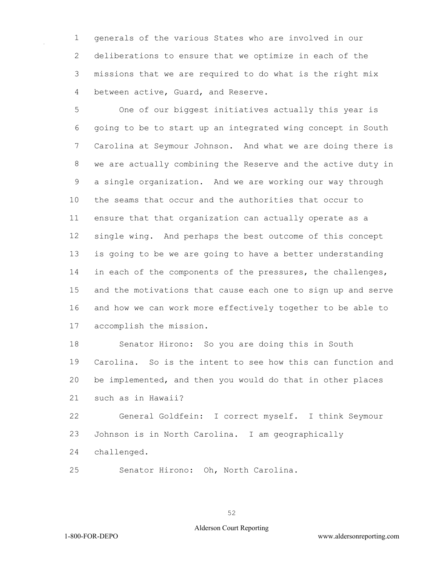generals of the various States who are involved in our deliberations to ensure that we optimize in each of the missions that we are required to do what is the right mix between active, Guard, and Reserve.

 One of our biggest initiatives actually this year is going to be to start up an integrated wing concept in South Carolina at Seymour Johnson. And what we are doing there is we are actually combining the Reserve and the active duty in a single organization. And we are working our way through the seams that occur and the authorities that occur to ensure that that organization can actually operate as a single wing. And perhaps the best outcome of this concept is going to be we are going to have a better understanding 14 in each of the components of the pressures, the challenges, and the motivations that cause each one to sign up and serve and how we can work more effectively together to be able to accomplish the mission.

 Senator Hirono: So you are doing this in South Carolina. So is the intent to see how this can function and be implemented, and then you would do that in other places such as in Hawaii?

 General Goldfein: I correct myself. I think Seymour Johnson is in North Carolina. I am geographically

- challenged.
- Senator Hirono: Oh, North Carolina.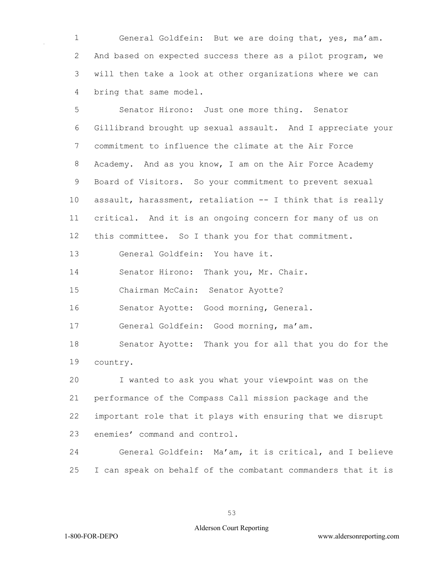General Goldfein: But we are doing that, yes, ma'am. And based on expected success there as a pilot program, we will then take a look at other organizations where we can bring that same model.

 Senator Hirono: Just one more thing. Senator Gillibrand brought up sexual assault. And I appreciate your commitment to influence the climate at the Air Force Academy. And as you know, I am on the Air Force Academy Board of Visitors. So your commitment to prevent sexual assault, harassment, retaliation -- I think that is really critical. And it is an ongoing concern for many of us on this committee. So I thank you for that commitment.

General Goldfein: You have it.

Senator Hirono: Thank you, Mr. Chair.

Chairman McCain: Senator Ayotte?

Senator Ayotte: Good morning, General.

General Goldfein: Good morning, ma'am.

 Senator Ayotte: Thank you for all that you do for the country.

 I wanted to ask you what your viewpoint was on the performance of the Compass Call mission package and the important role that it plays with ensuring that we disrupt enemies' command and control.

 General Goldfein: Ma'am, it is critical, and I believe I can speak on behalf of the combatant commanders that it is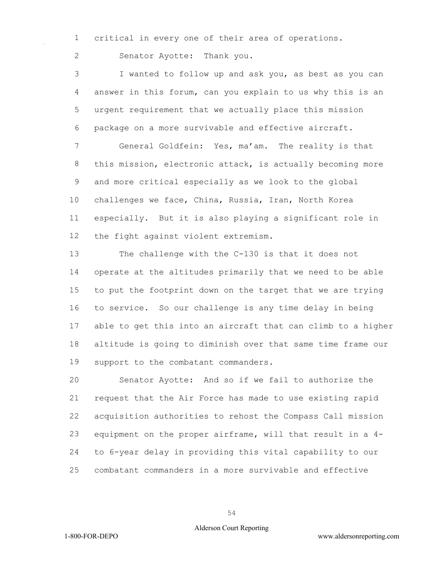critical in every one of their area of operations.

Senator Ayotte: Thank you.

 I wanted to follow up and ask you, as best as you can answer in this forum, can you explain to us why this is an urgent requirement that we actually place this mission package on a more survivable and effective aircraft.

 General Goldfein: Yes, ma'am. The reality is that this mission, electronic attack, is actually becoming more and more critical especially as we look to the global challenges we face, China, Russia, Iran, North Korea especially. But it is also playing a significant role in the fight against violent extremism.

 The challenge with the C-130 is that it does not operate at the altitudes primarily that we need to be able to put the footprint down on the target that we are trying to service. So our challenge is any time delay in being able to get this into an aircraft that can climb to a higher altitude is going to diminish over that same time frame our support to the combatant commanders.

 Senator Ayotte: And so if we fail to authorize the request that the Air Force has made to use existing rapid acquisition authorities to rehost the Compass Call mission equipment on the proper airframe, will that result in a 4- to 6-year delay in providing this vital capability to our combatant commanders in a more survivable and effective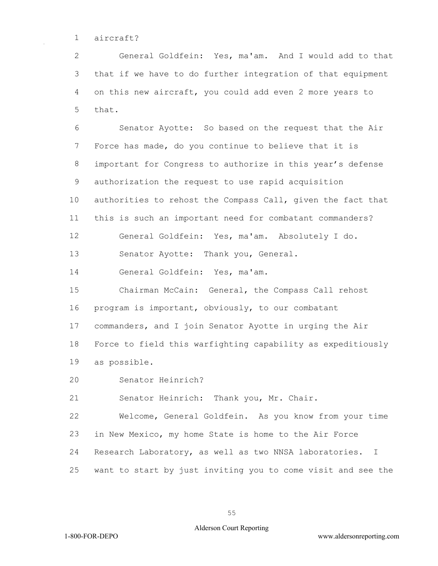aircraft?

 General Goldfein: Yes, ma'am. And I would add to that that if we have to do further integration of that equipment on this new aircraft, you could add even 2 more years to that.

 Senator Ayotte: So based on the request that the Air Force has made, do you continue to believe that it is important for Congress to authorize in this year's defense authorization the request to use rapid acquisition authorities to rehost the Compass Call, given the fact that this is such an important need for combatant commanders? General Goldfein: Yes, ma'am. Absolutely I do. 13 Senator Ayotte: Thank you, General. General Goldfein: Yes, ma'am. Chairman McCain: General, the Compass Call rehost program is important, obviously, to our combatant commanders, and I join Senator Ayotte in urging the Air Force to field this warfighting capability as expeditiously as possible.

Senator Heinrich?

Senator Heinrich: Thank you, Mr. Chair.

 Welcome, General Goldfein. As you know from your time in New Mexico, my home State is home to the Air Force Research Laboratory, as well as two NNSA laboratories. I want to start by just inviting you to come visit and see the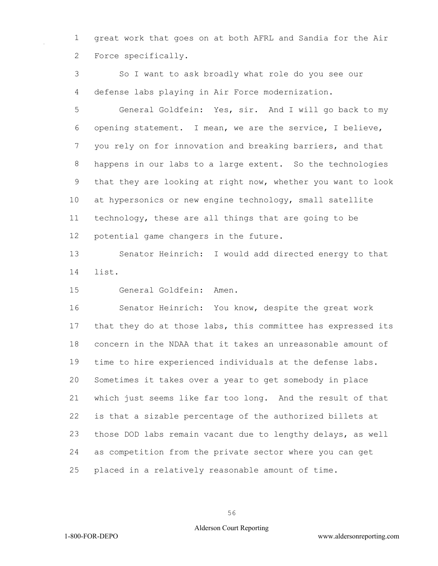great work that goes on at both AFRL and Sandia for the Air Force specifically.

 So I want to ask broadly what role do you see our defense labs playing in Air Force modernization.

 General Goldfein: Yes, sir. And I will go back to my opening statement. I mean, we are the service, I believe, you rely on for innovation and breaking barriers, and that happens in our labs to a large extent. So the technologies that they are looking at right now, whether you want to look at hypersonics or new engine technology, small satellite technology, these are all things that are going to be potential game changers in the future.

 Senator Heinrich: I would add directed energy to that list.

General Goldfein: Amen.

 Senator Heinrich: You know, despite the great work that they do at those labs, this committee has expressed its concern in the NDAA that it takes an unreasonable amount of time to hire experienced individuals at the defense labs. Sometimes it takes over a year to get somebody in place which just seems like far too long. And the result of that is that a sizable percentage of the authorized billets at those DOD labs remain vacant due to lengthy delays, as well as competition from the private sector where you can get placed in a relatively reasonable amount of time.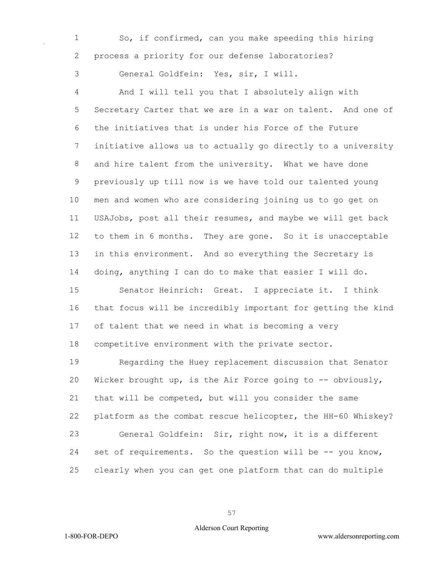So, if confirmed, can you make speeding this hiring process a priority for our defense laboratories?

General Goldfein: Yes, sir, I will.

 And I will tell you that I absolutely align with Secretary Carter that we are in a war on talent. And one of the initiatives that is under his Force of the Future initiative allows us to actually go directly to a university and hire talent from the university. What we have done previously up till now is we have told our talented young men and women who are considering joining us to go get on USAJobs, post all their resumes, and maybe we will get back to them in 6 months. They are gone. So it is unacceptable in this environment. And so everything the Secretary is doing, anything I can do to make that easier I will do. Senator Heinrich: Great. I appreciate it. I think that focus will be incredibly important for getting the kind of talent that we need in what is becoming a very competitive environment with the private sector.

 Regarding the Huey replacement discussion that Senator Wicker brought up, is the Air Force going to -- obviously, that will be competed, but will you consider the same platform as the combat rescue helicopter, the HH-60 Whiskey? General Goldfein: Sir, right now, it is a different set of requirements. So the question will be -- you know, clearly when you can get one platform that can do multiple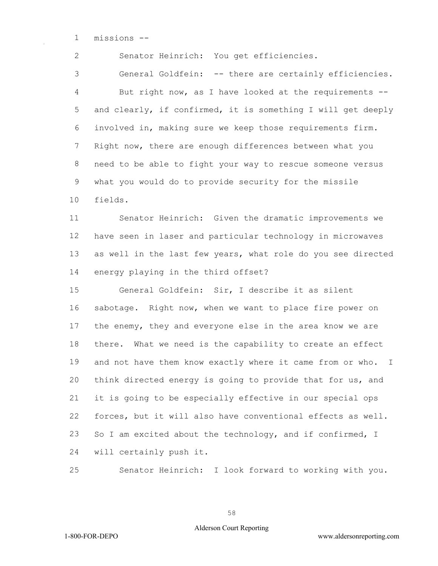missions --

Senator Heinrich: You get efficiencies.

 General Goldfein: -- there are certainly efficiencies. But right now, as I have looked at the requirements -- and clearly, if confirmed, it is something I will get deeply involved in, making sure we keep those requirements firm. Right now, there are enough differences between what you need to be able to fight your way to rescue someone versus what you would do to provide security for the missile fields.

 Senator Heinrich: Given the dramatic improvements we have seen in laser and particular technology in microwaves as well in the last few years, what role do you see directed energy playing in the third offset?

 General Goldfein: Sir, I describe it as silent sabotage. Right now, when we want to place fire power on the enemy, they and everyone else in the area know we are there. What we need is the capability to create an effect 19 and not have them know exactly where it came from or who. I think directed energy is going to provide that for us, and it is going to be especially effective in our special ops forces, but it will also have conventional effects as well. 23 So I am excited about the technology, and if confirmed, I will certainly push it.

Senator Heinrich: I look forward to working with you.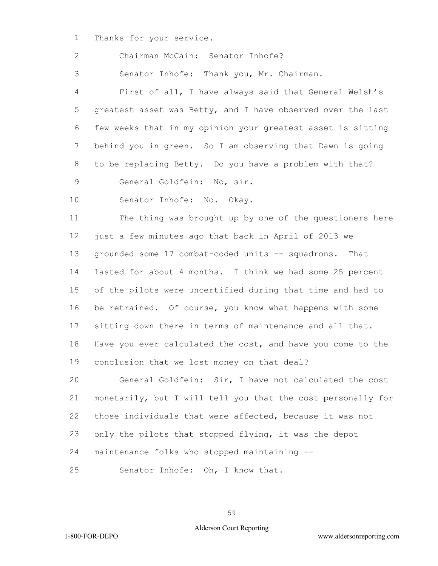Thanks for your service.

Chairman McCain: Senator Inhofe?

Senator Inhofe: Thank you, Mr. Chairman.

 First of all, I have always said that General Welsh's greatest asset was Betty, and I have observed over the last few weeks that in my opinion your greatest asset is sitting behind you in green. So I am observing that Dawn is going to be replacing Betty. Do you have a problem with that? General Goldfein: No, sir.

Senator Inhofe: No. Okay.

 The thing was brought up by one of the questioners here just a few minutes ago that back in April of 2013 we grounded some 17 combat-coded units -- squadrons. That lasted for about 4 months. I think we had some 25 percent of the pilots were uncertified during that time and had to be retrained. Of course, you know what happens with some sitting down there in terms of maintenance and all that. Have you ever calculated the cost, and have you come to the conclusion that we lost money on that deal?

 General Goldfein: Sir, I have not calculated the cost monetarily, but I will tell you that the cost personally for those individuals that were affected, because it was not only the pilots that stopped flying, it was the depot maintenance folks who stopped maintaining --

Senator Inhofe: Oh, I know that.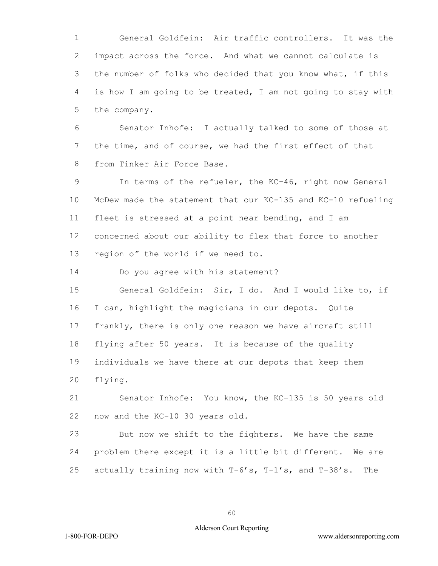General Goldfein: Air traffic controllers. It was the impact across the force. And what we cannot calculate is the number of folks who decided that you know what, if this is how I am going to be treated, I am not going to stay with the company.

 Senator Inhofe: I actually talked to some of those at the time, and of course, we had the first effect of that from Tinker Air Force Base.

 In terms of the refueler, the KC-46, right now General McDew made the statement that our KC-135 and KC-10 refueling fleet is stressed at a point near bending, and I am concerned about our ability to flex that force to another region of the world if we need to.

Do you agree with his statement?

 General Goldfein: Sir, I do. And I would like to, if I can, highlight the magicians in our depots. Quite frankly, there is only one reason we have aircraft still flying after 50 years. It is because of the quality individuals we have there at our depots that keep them flying.

 Senator Inhofe: You know, the KC-135 is 50 years old now and the KC-10 30 years old.

 But now we shift to the fighters. We have the same problem there except it is a little bit different. We are actually training now with T-6's, T-1's, and T-38's. The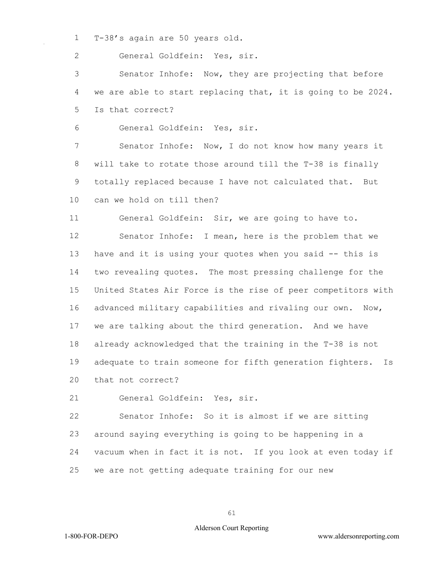T-38's again are 50 years old.

General Goldfein: Yes, sir.

 Senator Inhofe: Now, they are projecting that before we are able to start replacing that, it is going to be 2024. Is that correct?

General Goldfein: Yes, sir.

 Senator Inhofe: Now, I do not know how many years it will take to rotate those around till the T-38 is finally totally replaced because I have not calculated that. But can we hold on till then?

General Goldfein: Sir, we are going to have to.

 Senator Inhofe: I mean, here is the problem that we have and it is using your quotes when you said -- this is two revealing quotes. The most pressing challenge for the United States Air Force is the rise of peer competitors with 16 advanced military capabilities and rivaling our own. Now, we are talking about the third generation. And we have already acknowledged that the training in the T-38 is not adequate to train someone for fifth generation fighters. Is that not correct?

General Goldfein: Yes, sir.

 Senator Inhofe: So it is almost if we are sitting around saying everything is going to be happening in a vacuum when in fact it is not. If you look at even today if we are not getting adequate training for our new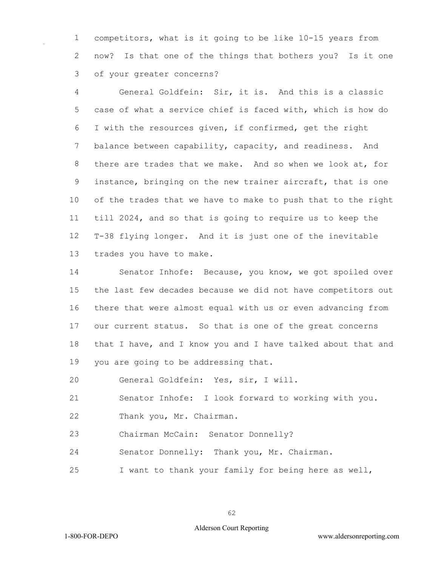competitors, what is it going to be like 10-15 years from now? Is that one of the things that bothers you? Is it one of your greater concerns?

 General Goldfein: Sir, it is. And this is a classic case of what a service chief is faced with, which is how do I with the resources given, if confirmed, get the right balance between capability, capacity, and readiness. And there are trades that we make. And so when we look at, for instance, bringing on the new trainer aircraft, that is one of the trades that we have to make to push that to the right till 2024, and so that is going to require us to keep the T-38 flying longer. And it is just one of the inevitable trades you have to make.

 Senator Inhofe: Because, you know, we got spoiled over the last few decades because we did not have competitors out there that were almost equal with us or even advancing from our current status. So that is one of the great concerns 18 that I have, and I know you and I have talked about that and you are going to be addressing that.

General Goldfein: Yes, sir, I will.

Senator Inhofe: I look forward to working with you.

Thank you, Mr. Chairman.

Chairman McCain: Senator Donnelly?

Senator Donnelly: Thank you, Mr. Chairman.

I want to thank your family for being here as well,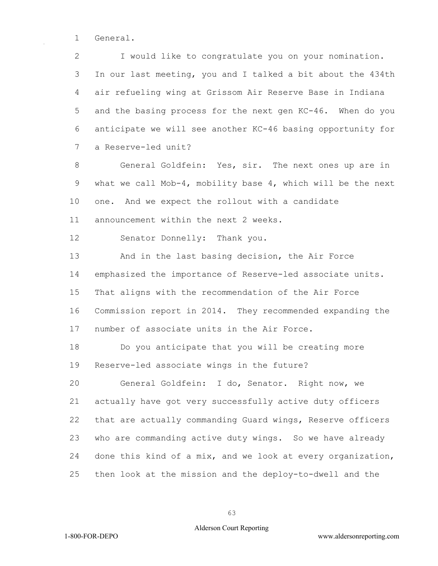1 General.

2 I would like to congratulate you on your nomination. 3 In our last meeting, you and I talked a bit about the 434th 4 air refueling wing at Grissom Air Reserve Base in Indiana 5 and the basing process for the next gen KC-46. When do you 6 anticipate we will see another KC-46 basing opportunity for 7 a Reserve-led unit?

8 General Goldfein: Yes, sir. The next ones up are in 9 what we call Mob-4, mobility base 4, which will be the next 10 one. And we expect the rollout with a candidate 11 announcement within the next 2 weeks.

12 Senator Donnelly: Thank you.

13 And in the last basing decision, the Air Force 14 emphasized the importance of Reserve-led associate units. 15 That aligns with the recommendation of the Air Force 16 Commission report in 2014. They recommended expanding the 17 number of associate units in the Air Force.

18 Do you anticipate that you will be creating more 19 Reserve-led associate wings in the future?

20 General Goldfein: I do, Senator. Right now, we 21 actually have got very successfully active duty officers 22 that are actually commanding Guard wings, Reserve officers 23 who are commanding active duty wings. So we have already 24 done this kind of a mix, and we look at every organization, 25 then look at the mission and the deploy-to-dwell and the

63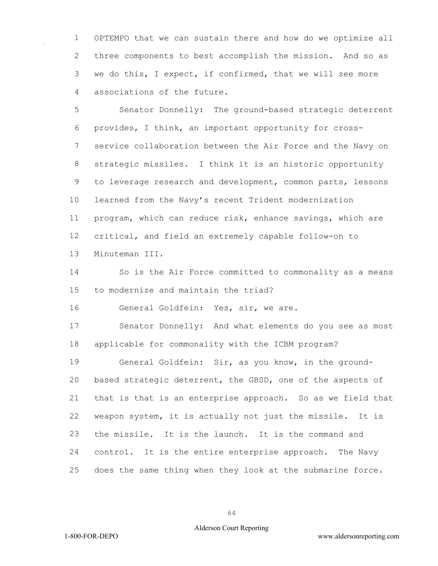OPTEMPO that we can sustain there and how do we optimize all three components to best accomplish the mission. And so as we do this, I expect, if confirmed, that we will see more associations of the future.

 Senator Donnelly: The ground-based strategic deterrent provides, I think, an important opportunity for cross- service collaboration between the Air Force and the Navy on strategic missiles. I think it is an historic opportunity to leverage research and development, common parts, lessons learned from the Navy's recent Trident modernization program, which can reduce risk, enhance savings, which are critical, and field an extremely capable follow-on to Minuteman III.

 So is the Air Force committed to commonality as a means to modernize and maintain the triad?

General Goldfein: Yes, sir, we are.

 Senator Donnelly: And what elements do you see as most applicable for commonality with the ICBM program?

 General Goldfein: Sir, as you know, in the ground- based strategic deterrent, the GBSD, one of the aspects of that is that is an enterprise approach. So as we field that weapon system, it is actually not just the missile. It is the missile. It is the launch. It is the command and control. It is the entire enterprise approach. The Navy does the same thing when they look at the submarine force.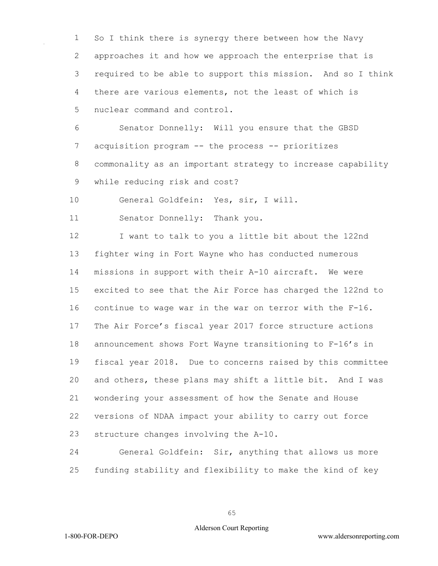So I think there is synergy there between how the Navy approaches it and how we approach the enterprise that is required to be able to support this mission. And so I think there are various elements, not the least of which is nuclear command and control.

 Senator Donnelly: Will you ensure that the GBSD acquisition program -- the process -- prioritizes commonality as an important strategy to increase capability while reducing risk and cost?

General Goldfein: Yes, sir, I will.

Senator Donnelly: Thank you.

12 I want to talk to you a little bit about the 122nd fighter wing in Fort Wayne who has conducted numerous missions in support with their A-10 aircraft. We were excited to see that the Air Force has charged the 122nd to continue to wage war in the war on terror with the F-16. The Air Force's fiscal year 2017 force structure actions announcement shows Fort Wayne transitioning to F-16's in fiscal year 2018. Due to concerns raised by this committee and others, these plans may shift a little bit. And I was wondering your assessment of how the Senate and House versions of NDAA impact your ability to carry out force structure changes involving the A-10.

 General Goldfein: Sir, anything that allows us more funding stability and flexibility to make the kind of key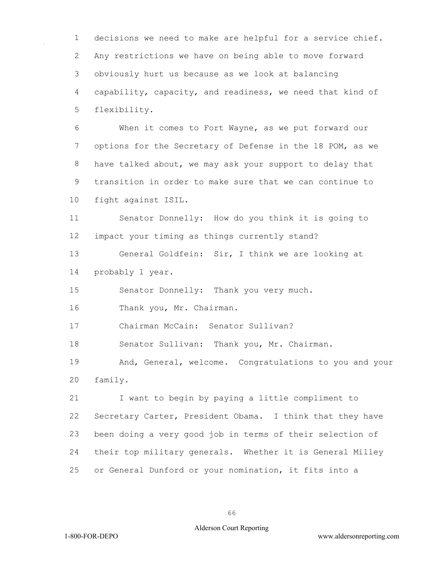decisions we need to make are helpful for a service chief. Any restrictions we have on being able to move forward obviously hurt us because as we look at balancing capability, capacity, and readiness, we need that kind of flexibility.

 When it comes to Fort Wayne, as we put forward our options for the Secretary of Defense in the 18 POM, as we have talked about, we may ask your support to delay that transition in order to make sure that we can continue to fight against ISIL.

 Senator Donnelly: How do you think it is going to impact your timing as things currently stand?

 General Goldfein: Sir, I think we are looking at probably 1 year.

Senator Donnelly: Thank you very much.

Thank you, Mr. Chairman.

Chairman McCain: Senator Sullivan?

Senator Sullivan: Thank you, Mr. Chairman.

 And, General, welcome. Congratulations to you and your family.

 I want to begin by paying a little compliment to Secretary Carter, President Obama. I think that they have been doing a very good job in terms of their selection of their top military generals. Whether it is General Milley or General Dunford or your nomination, it fits into a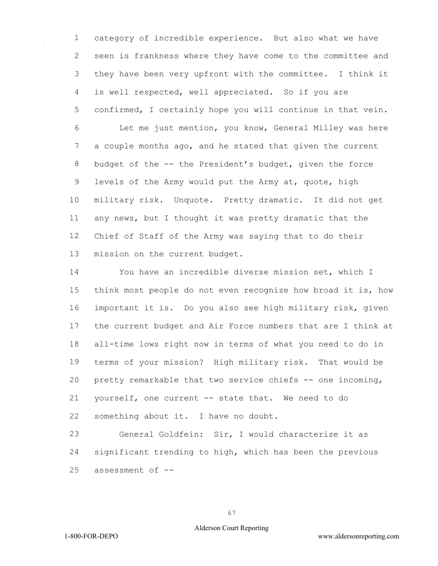category of incredible experience. But also what we have seen is frankness where they have come to the committee and they have been very upfront with the committee. I think it is well respected, well appreciated. So if you are confirmed, I certainly hope you will continue in that vein. Let me just mention, you know, General Milley was here a couple months ago, and he stated that given the current budget of the -- the President's budget, given the force levels of the Army would put the Army at, quote, high military risk. Unquote. Pretty dramatic. It did not get any news, but I thought it was pretty dramatic that the Chief of Staff of the Army was saying that to do their mission on the current budget.

 You have an incredible diverse mission set, which I think most people do not even recognize how broad it is, how important it is. Do you also see high military risk, given the current budget and Air Force numbers that are I think at all-time lows right now in terms of what you need to do in terms of your mission? High military risk. That would be pretty remarkable that two service chiefs -- one incoming, yourself, one current -- state that. We need to do something about it. I have no doubt.

 General Goldfein: Sir, I would characterize it as significant trending to high, which has been the previous assessment of --

## Alderson Court Reporting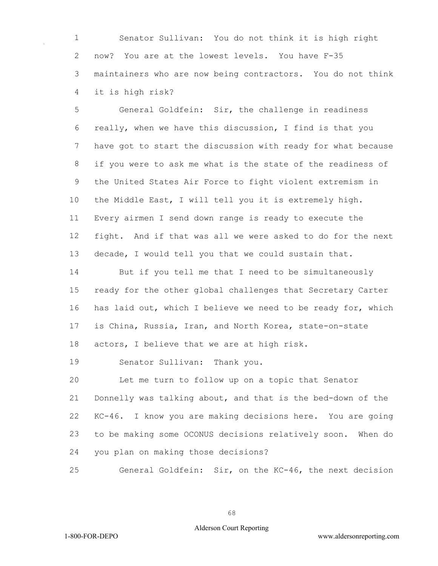Senator Sullivan: You do not think it is high right now? You are at the lowest levels. You have F-35 maintainers who are now being contractors. You do not think it is high risk?

 General Goldfein: Sir, the challenge in readiness really, when we have this discussion, I find is that you have got to start the discussion with ready for what because if you were to ask me what is the state of the readiness of the United States Air Force to fight violent extremism in the Middle East, I will tell you it is extremely high. Every airmen I send down range is ready to execute the fight. And if that was all we were asked to do for the next decade, I would tell you that we could sustain that.

 But if you tell me that I need to be simultaneously ready for the other global challenges that Secretary Carter has laid out, which I believe we need to be ready for, which is China, Russia, Iran, and North Korea, state-on-state actors, I believe that we are at high risk.

Senator Sullivan: Thank you.

 Let me turn to follow up on a topic that Senator Donnelly was talking about, and that is the bed-down of the KC-46. I know you are making decisions here. You are going to be making some OCONUS decisions relatively soon. When do you plan on making those decisions?

General Goldfein: Sir, on the KC-46, the next decision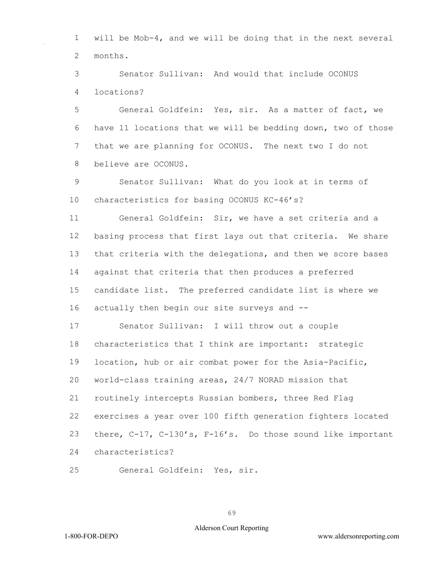will be Mob-4, and we will be doing that in the next several months.

 Senator Sullivan: And would that include OCONUS locations?

 General Goldfein: Yes, sir. As a matter of fact, we have 11 locations that we will be bedding down, two of those that we are planning for OCONUS. The next two I do not believe are OCONUS.

 Senator Sullivan: What do you look at in terms of characteristics for basing OCONUS KC-46's?

 General Goldfein: Sir, we have a set criteria and a basing process that first lays out that criteria. We share that criteria with the delegations, and then we score bases against that criteria that then produces a preferred candidate list. The preferred candidate list is where we actually then begin our site surveys and --

 Senator Sullivan: I will throw out a couple characteristics that I think are important: strategic location, hub or air combat power for the Asia-Pacific, world-class training areas, 24/7 NORAD mission that routinely intercepts Russian bombers, three Red Flag exercises a year over 100 fifth generation fighters located there, C-17, C-130's, F-16's. Do those sound like important characteristics?

General Goldfein: Yes, sir.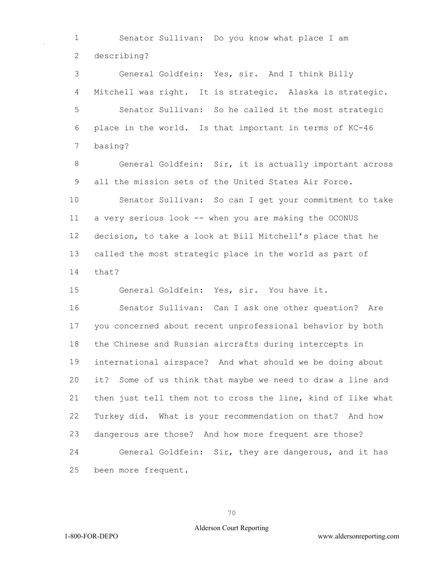Senator Sullivan: Do you know what place I am describing?

 General Goldfein: Yes, sir. And I think Billy Mitchell was right. It is strategic. Alaska is strategic. Senator Sullivan: So he called it the most strategic place in the world. Is that important in terms of KC-46 basing?

 General Goldfein: Sir, it is actually important across all the mission sets of the United States Air Force.

 Senator Sullivan: So can I get your commitment to take a very serious look -- when you are making the OCONUS decision, to take a look at Bill Mitchell's place that he called the most strategic place in the world as part of that?

General Goldfein: Yes, sir. You have it.

 Senator Sullivan: Can I ask one other question? Are you concerned about recent unprofessional behavior by both the Chinese and Russian aircrafts during intercepts in international airspace? And what should we be doing about it? Some of us think that maybe we need to draw a line and then just tell them not to cross the line, kind of like what Turkey did. What is your recommendation on that? And how dangerous are those? And how more frequent are those? General Goldfein: Sir, they are dangerous, and it has been more frequent.

## Alderson Court Reporting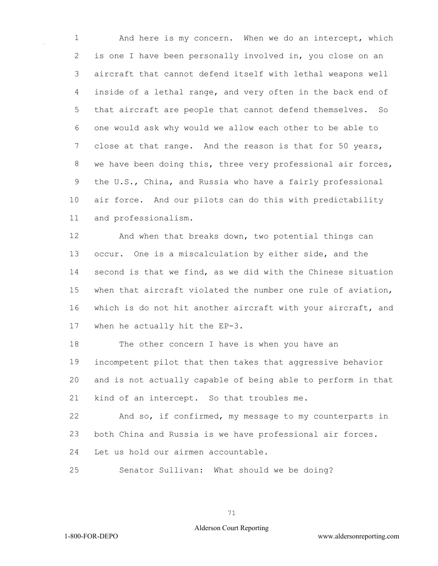And here is my concern. When we do an intercept, which is one I have been personally involved in, you close on an aircraft that cannot defend itself with lethal weapons well inside of a lethal range, and very often in the back end of that aircraft are people that cannot defend themselves. So one would ask why would we allow each other to be able to 7 close at that range. And the reason is that for 50 years, we have been doing this, three very professional air forces, the U.S., China, and Russia who have a fairly professional air force. And our pilots can do this with predictability and professionalism.

 And when that breaks down, two potential things can occur. One is a miscalculation by either side, and the second is that we find, as we did with the Chinese situation when that aircraft violated the number one rule of aviation, which is do not hit another aircraft with your aircraft, and when he actually hit the EP-3.

 The other concern I have is when you have an incompetent pilot that then takes that aggressive behavior and is not actually capable of being able to perform in that kind of an intercept. So that troubles me.

 And so, if confirmed, my message to my counterparts in both China and Russia is we have professional air forces. Let us hold our airmen accountable.

Senator Sullivan: What should we be doing?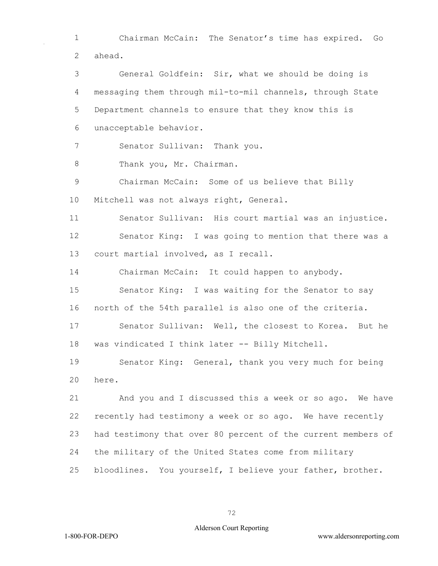Chairman McCain: The Senator's time has expired. Go ahead.

 General Goldfein: Sir, what we should be doing is messaging them through mil-to-mil channels, through State Department channels to ensure that they know this is unacceptable behavior.

Senator Sullivan: Thank you.

8 Thank you, Mr. Chairman.

 Chairman McCain: Some of us believe that Billy Mitchell was not always right, General.

 Senator Sullivan: His court martial was an injustice. Senator King: I was going to mention that there was a

court martial involved, as I recall.

Chairman McCain: It could happen to anybody.

 Senator King: I was waiting for the Senator to say north of the 54th parallel is also one of the criteria.

 Senator Sullivan: Well, the closest to Korea. But he was vindicated I think later -- Billy Mitchell.

 Senator King: General, thank you very much for being here.

 And you and I discussed this a week or so ago. We have recently had testimony a week or so ago. We have recently had testimony that over 80 percent of the current members of the military of the United States come from military bloodlines. You yourself, I believe your father, brother.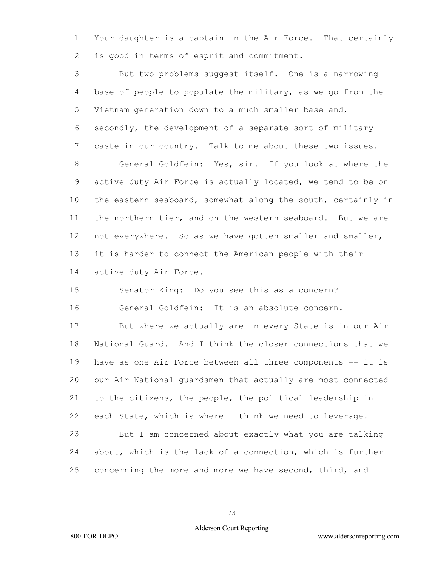Your daughter is a captain in the Air Force. That certainly is good in terms of esprit and commitment.

 But two problems suggest itself. One is a narrowing base of people to populate the military, as we go from the Vietnam generation down to a much smaller base and, secondly, the development of a separate sort of military caste in our country. Talk to me about these two issues. General Goldfein: Yes, sir. If you look at where the active duty Air Force is actually located, we tend to be on the eastern seaboard, somewhat along the south, certainly in the northern tier, and on the western seaboard. But we are not everywhere. So as we have gotten smaller and smaller, it is harder to connect the American people with their active duty Air Force.

 Senator King: Do you see this as a concern? General Goldfein: It is an absolute concern.

 But where we actually are in every State is in our Air National Guard. And I think the closer connections that we have as one Air Force between all three components -- it is our Air National guardsmen that actually are most connected to the citizens, the people, the political leadership in each State, which is where I think we need to leverage. But I am concerned about exactly what you are talking

 about, which is the lack of a connection, which is further concerning the more and more we have second, third, and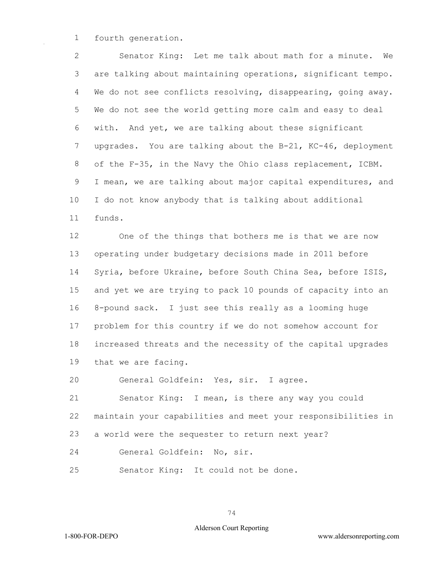fourth generation.

 Senator King: Let me talk about math for a minute. We are talking about maintaining operations, significant tempo. We do not see conflicts resolving, disappearing, going away. We do not see the world getting more calm and easy to deal with. And yet, we are talking about these significant upgrades. You are talking about the B-21, KC-46, deployment of the F-35, in the Navy the Ohio class replacement, ICBM. I mean, we are talking about major capital expenditures, and I do not know anybody that is talking about additional funds.

 One of the things that bothers me is that we are now operating under budgetary decisions made in 2011 before Syria, before Ukraine, before South China Sea, before ISIS, and yet we are trying to pack 10 pounds of capacity into an 8-pound sack. I just see this really as a looming huge problem for this country if we do not somehow account for increased threats and the necessity of the capital upgrades that we are facing.

General Goldfein: Yes, sir. I agree.

 Senator King: I mean, is there any way you could maintain your capabilities and meet your responsibilities in a world were the sequester to return next year?

- General Goldfein: No, sir.
- Senator King: It could not be done.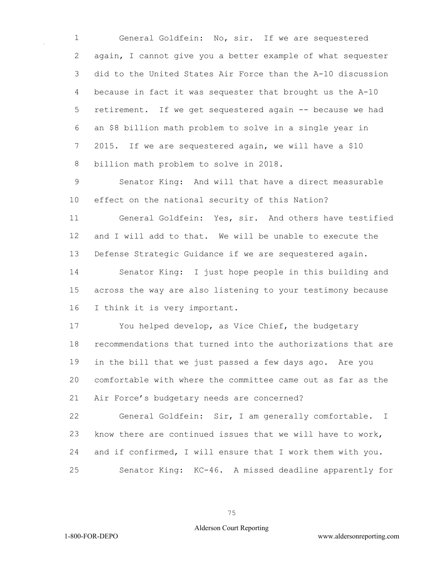General Goldfein: No, sir. If we are sequestered again, I cannot give you a better example of what sequester did to the United States Air Force than the A-10 discussion because in fact it was sequester that brought us the A-10 retirement. If we get sequestered again -- because we had an \$8 billion math problem to solve in a single year in 2015. If we are sequestered again, we will have a \$10 billion math problem to solve in 2018.

 Senator King: And will that have a direct measurable effect on the national security of this Nation?

 General Goldfein: Yes, sir. And others have testified and I will add to that. We will be unable to execute the Defense Strategic Guidance if we are sequestered again.

 Senator King: I just hope people in this building and across the way are also listening to your testimony because I think it is very important.

 You helped develop, as Vice Chief, the budgetary recommendations that turned into the authorizations that are in the bill that we just passed a few days ago. Are you comfortable with where the committee came out as far as the Air Force's budgetary needs are concerned?

 General Goldfein: Sir, I am generally comfortable. I know there are continued issues that we will have to work, and if confirmed, I will ensure that I work them with you. Senator King: KC-46. A missed deadline apparently for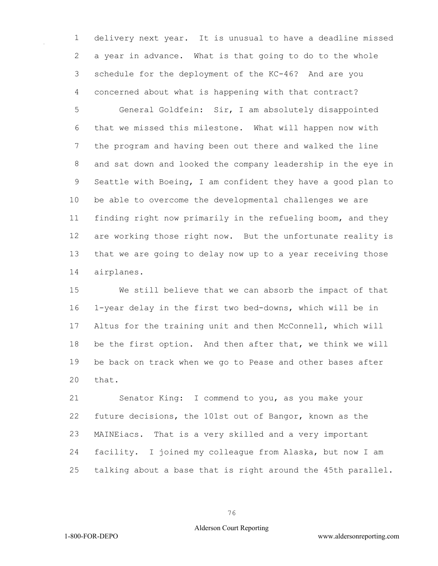delivery next year. It is unusual to have a deadline missed a year in advance. What is that going to do to the whole schedule for the deployment of the KC-46? And are you concerned about what is happening with that contract?

 General Goldfein: Sir, I am absolutely disappointed that we missed this milestone. What will happen now with the program and having been out there and walked the line and sat down and looked the company leadership in the eye in Seattle with Boeing, I am confident they have a good plan to be able to overcome the developmental challenges we are finding right now primarily in the refueling boom, and they are working those right now. But the unfortunate reality is that we are going to delay now up to a year receiving those airplanes.

 We still believe that we can absorb the impact of that 1-year delay in the first two bed-downs, which will be in Altus for the training unit and then McConnell, which will be the first option. And then after that, we think we will be back on track when we go to Pease and other bases after that.

 Senator King: I commend to you, as you make your future decisions, the 101st out of Bangor, known as the MAINEiacs. That is a very skilled and a very important facility. I joined my colleague from Alaska, but now I am talking about a base that is right around the 45th parallel.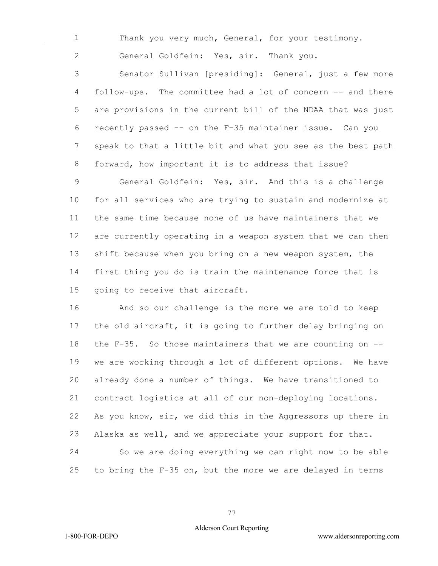Thank you very much, General, for your testimony.

General Goldfein: Yes, sir. Thank you.

 Senator Sullivan [presiding]: General, just a few more follow-ups. The committee had a lot of concern -- and there are provisions in the current bill of the NDAA that was just recently passed -- on the F-35 maintainer issue. Can you speak to that a little bit and what you see as the best path forward, how important it is to address that issue?

 General Goldfein: Yes, sir. And this is a challenge for all services who are trying to sustain and modernize at the same time because none of us have maintainers that we are currently operating in a weapon system that we can then shift because when you bring on a new weapon system, the first thing you do is train the maintenance force that is going to receive that aircraft.

 And so our challenge is the more we are told to keep the old aircraft, it is going to further delay bringing on the F-35. So those maintainers that we are counting on -- we are working through a lot of different options. We have already done a number of things. We have transitioned to contract logistics at all of our non-deploying locations. As you know, sir, we did this in the Aggressors up there in Alaska as well, and we appreciate your support for that. So we are doing everything we can right now to be able to bring the F-35 on, but the more we are delayed in terms

## Alderson Court Reporting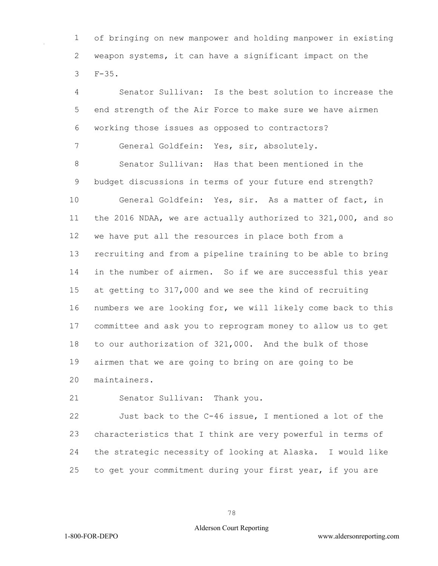of bringing on new manpower and holding manpower in existing weapon systems, it can have a significant impact on the F-35.

 Senator Sullivan: Is the best solution to increase the end strength of the Air Force to make sure we have airmen working those issues as opposed to contractors? General Goldfein: Yes, sir, absolutely. Senator Sullivan: Has that been mentioned in the budget discussions in terms of your future end strength? General Goldfein: Yes, sir. As a matter of fact, in the 2016 NDAA, we are actually authorized to 321,000, and so we have put all the resources in place both from a recruiting and from a pipeline training to be able to bring in the number of airmen. So if we are successful this year at getting to 317,000 and we see the kind of recruiting numbers we are looking for, we will likely come back to this committee and ask you to reprogram money to allow us to get to our authorization of 321,000. And the bulk of those airmen that we are going to bring on are going to be maintainers.

Senator Sullivan: Thank you.

 Just back to the C-46 issue, I mentioned a lot of the characteristics that I think are very powerful in terms of the strategic necessity of looking at Alaska. I would like to get your commitment during your first year, if you are

1-800-FOR-DEPO www.aldersonreporting.com